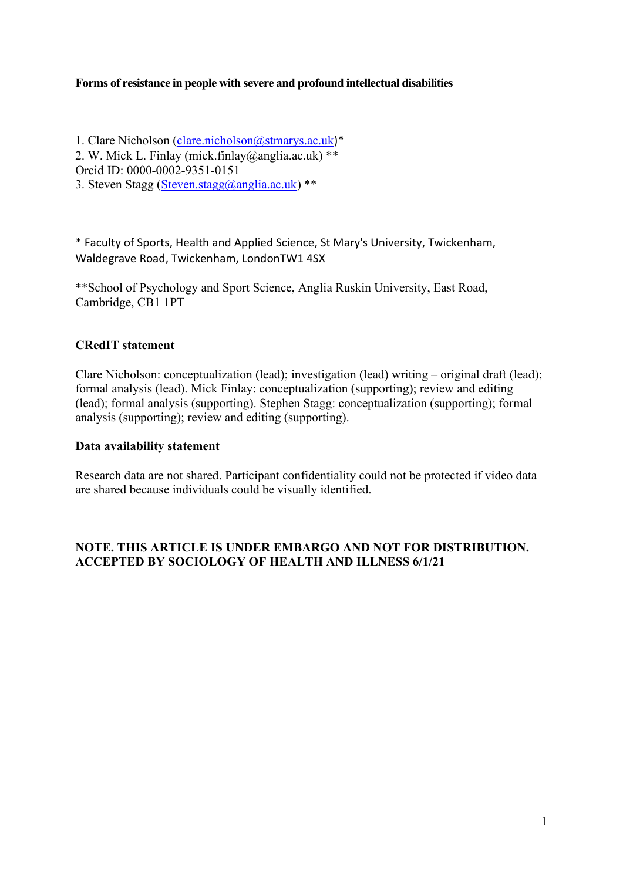# **Forms of resistance in people with severe and profound intellectual disabilities**

1. Clare Nicholson (*clare.nicholson@stmarys.ac.uk*)\* 2. W. Mick L. Finlay (mick.finlay@anglia.ac.uk) \*\* Orcid ID: 0000-0002-9351-0151 3. Steven Stagg [\(Steven.stagg@anglia.ac.uk\)](mailto:Steven.stagg@anglia.ac.uk) \*\*

\* Faculty of Sports, Health and Applied Science, St Mary's University, Twickenham, Waldegrave Road, Twickenham, LondonTW1 4SX

\*\*School of Psychology and Sport Science, Anglia Ruskin University, East Road, Cambridge, CB1 1PT

# **CRedIT statement**

Clare Nicholson: conceptualization (lead); investigation (lead) writing – original draft (lead); formal analysis (lead). Mick Finlay: conceptualization (supporting); review and editing (lead); formal analysis (supporting). Stephen Stagg: conceptualization (supporting); formal analysis (supporting); review and editing (supporting).

# **Data availability statement**

Research data are not shared. Participant confidentiality could not be protected if video data are shared because individuals could be visually identified.

# **NOTE. THIS ARTICLE IS UNDER EMBARGO AND NOT FOR DISTRIBUTION. ACCEPTED BY SOCIOLOGY OF HEALTH AND ILLNESS 6/1/21**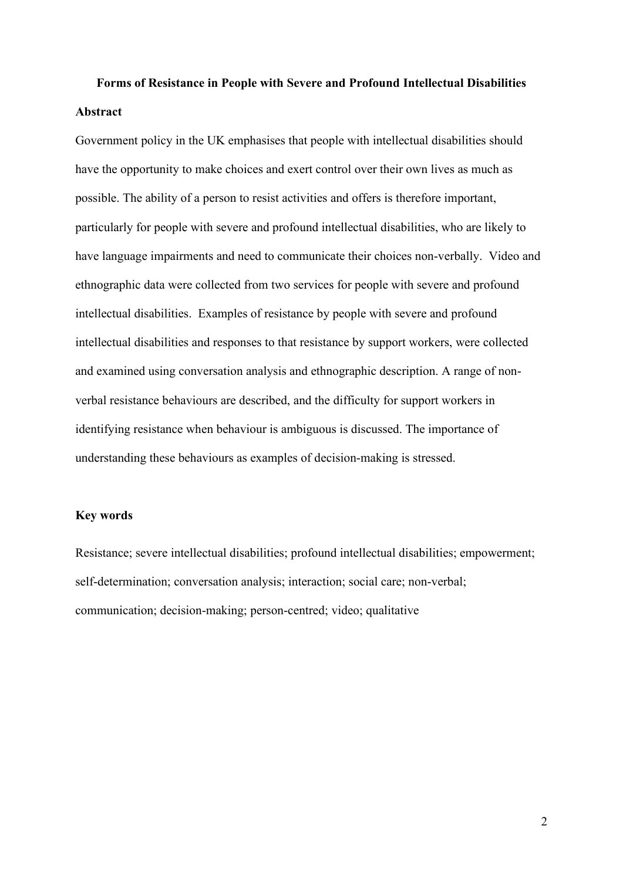# **Forms of Resistance in People with Severe and Profound Intellectual Disabilities Abstract**

Government policy in the UK emphasises that people with intellectual disabilities should have the opportunity to make choices and exert control over their own lives as much as possible. The ability of a person to resist activities and offers is therefore important, particularly for people with severe and profound intellectual disabilities, who are likely to have language impairments and need to communicate their choices non-verbally. Video and ethnographic data were collected from two services for people with severe and profound intellectual disabilities. Examples of resistance by people with severe and profound intellectual disabilities and responses to that resistance by support workers, were collected and examined using conversation analysis and ethnographic description. A range of nonverbal resistance behaviours are described, and the difficulty for support workers in identifying resistance when behaviour is ambiguous is discussed. The importance of understanding these behaviours as examples of decision-making is stressed.

# **Key words**

Resistance; severe intellectual disabilities; profound intellectual disabilities; empowerment; self-determination; conversation analysis; interaction; social care; non-verbal; communication; decision-making; person-centred; video; qualitative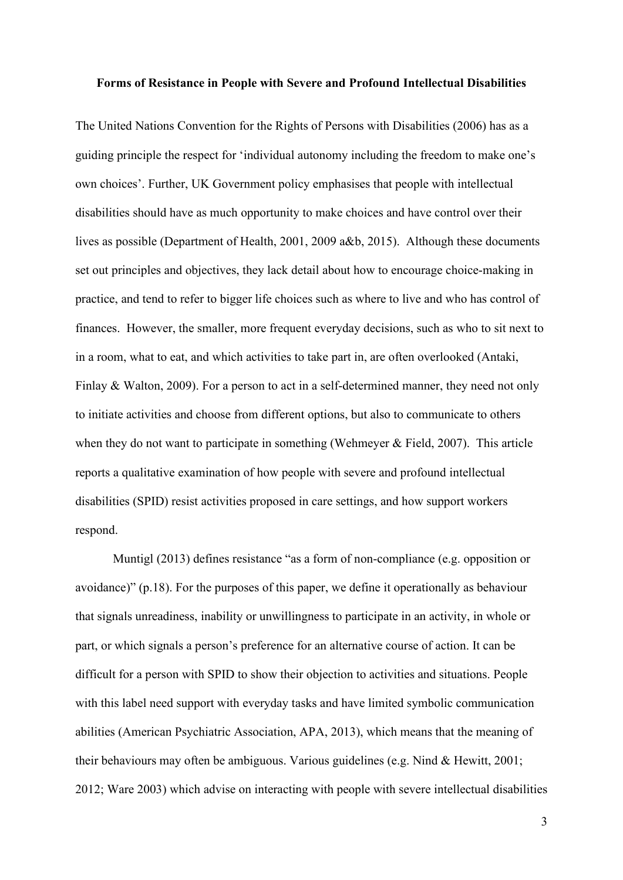#### **Forms of Resistance in People with Severe and Profound Intellectual Disabilities**

The United Nations Convention for the Rights of Persons with Disabilities (2006) has as a guiding principle the respect for 'individual autonomy including the freedom to make one's own choices'. Further, UK Government policy emphasises that people with intellectual disabilities should have as much opportunity to make choices and have control over their lives as possible (Department of Health, 2001, 2009 a&b, 2015). Although these documents set out principles and objectives, they lack detail about how to encourage choice-making in practice, and tend to refer to bigger life choices such as where to live and who has control of finances. However, the smaller, more frequent everyday decisions, such as who to sit next to in a room, what to eat, and which activities to take part in, are often overlooked (Antaki, Finlay & Walton, 2009). For a person to act in a self-determined manner, they need not only to initiate activities and choose from different options, but also to communicate to others when they do not want to participate in something (Wehmeyer & Field, 2007). This article reports a qualitative examination of how people with severe and profound intellectual disabilities (SPID) resist activities proposed in care settings, and how support workers respond.

Muntigl (2013) defines resistance "as a form of non-compliance (e.g. opposition or avoidance)" (p.18). For the purposes of this paper, we define it operationally as behaviour that signals unreadiness, inability or unwillingness to participate in an activity, in whole or part, or which signals a person's preference for an alternative course of action. It can be difficult for a person with SPID to show their objection to activities and situations. People with this label need support with everyday tasks and have limited symbolic communication abilities (American Psychiatric Association, APA, 2013), which means that the meaning of their behaviours may often be ambiguous. Various guidelines (e.g. Nind & Hewitt, 2001; 2012; Ware 2003) which advise on interacting with people with severe intellectual disabilities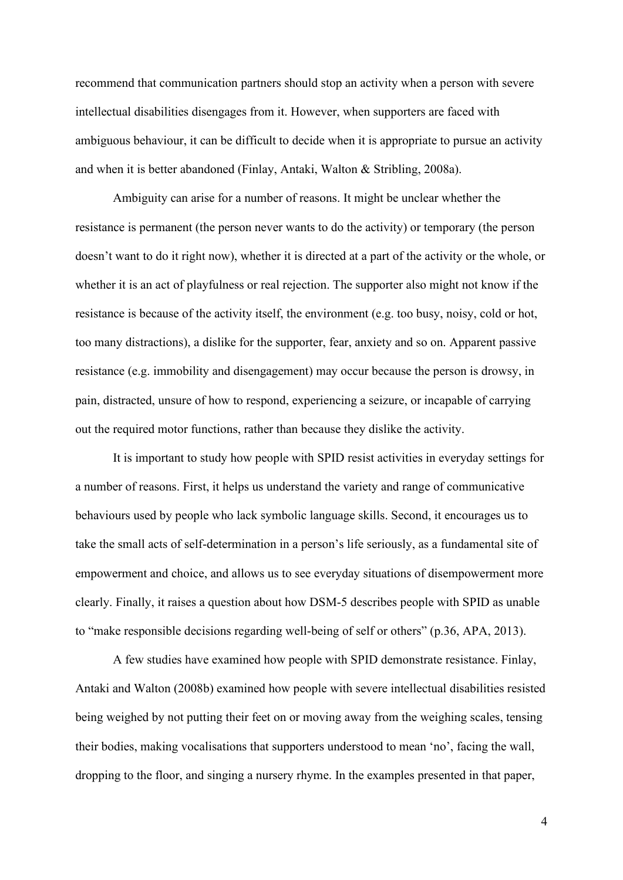recommend that communication partners should stop an activity when a person with severe intellectual disabilities disengages from it. However, when supporters are faced with ambiguous behaviour, it can be difficult to decide when it is appropriate to pursue an activity and when it is better abandoned (Finlay, Antaki, Walton & Stribling, 2008a).

Ambiguity can arise for a number of reasons. It might be unclear whether the resistance is permanent (the person never wants to do the activity) or temporary (the person doesn't want to do it right now), whether it is directed at a part of the activity or the whole, or whether it is an act of playfulness or real rejection. The supporter also might not know if the resistance is because of the activity itself, the environment (e.g. too busy, noisy, cold or hot, too many distractions), a dislike for the supporter, fear, anxiety and so on. Apparent passive resistance (e.g. immobility and disengagement) may occur because the person is drowsy, in pain, distracted, unsure of how to respond, experiencing a seizure, or incapable of carrying out the required motor functions, rather than because they dislike the activity.

It is important to study how people with SPID resist activities in everyday settings for a number of reasons. First, it helps us understand the variety and range of communicative behaviours used by people who lack symbolic language skills. Second, it encourages us to take the small acts of self-determination in a person's life seriously, as a fundamental site of empowerment and choice, and allows us to see everyday situations of disempowerment more clearly. Finally, it raises a question about how DSM-5 describes people with SPID as unable to "make responsible decisions regarding well-being of self or others" (p.36, APA, 2013).

A few studies have examined how people with SPID demonstrate resistance. Finlay, Antaki and Walton (2008b) examined how people with severe intellectual disabilities resisted being weighed by not putting their feet on or moving away from the weighing scales, tensing their bodies, making vocalisations that supporters understood to mean 'no', facing the wall, dropping to the floor, and singing a nursery rhyme. In the examples presented in that paper,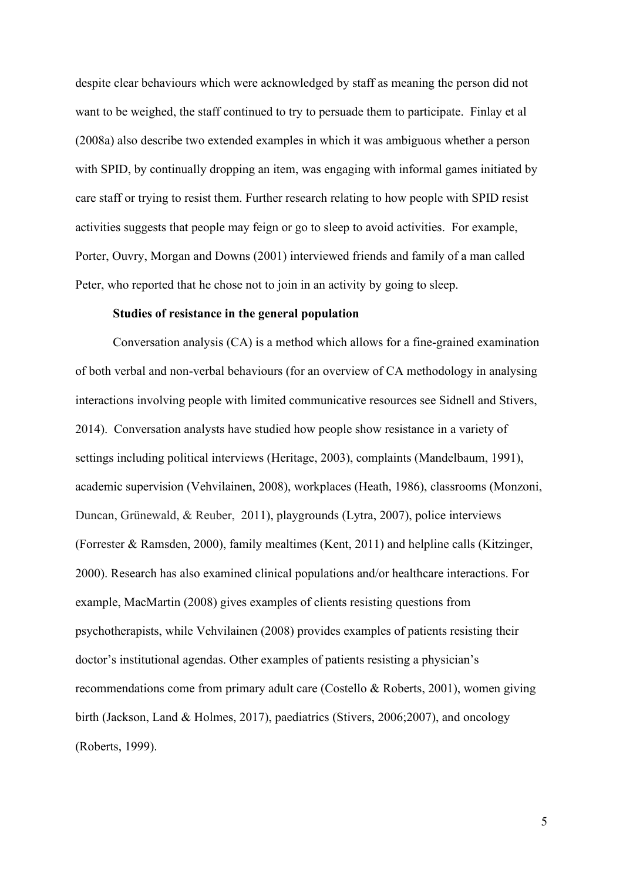despite clear behaviours which were acknowledged by staff as meaning the person did not want to be weighed, the staff continued to try to persuade them to participate. Finlay et al (2008a) also describe two extended examples in which it was ambiguous whether a person with SPID, by continually dropping an item, was engaging with informal games initiated by care staff or trying to resist them. Further research relating to how people with SPID resist activities suggests that people may feign or go to sleep to avoid activities. For example, Porter, Ouvry, Morgan and Downs (2001) interviewed friends and family of a man called Peter, who reported that he chose not to join in an activity by going to sleep.

## **Studies of resistance in the general population**

Conversation analysis (CA) is a method which allows for a fine-grained examination of both verbal and non-verbal behaviours (for an overview of CA methodology in analysing interactions involving people with limited communicative resources see Sidnell and Stivers, 2014). Conversation analysts have studied how people show resistance in a variety of settings including political interviews (Heritage, 2003), complaints (Mandelbaum, 1991), academic supervision (Vehvilainen, 2008), workplaces (Heath, 1986), classrooms (Monzoni, Duncan, Grünewald, & Reuber, 2011), playgrounds (Lytra, 2007), police interviews (Forrester & Ramsden, 2000), family mealtimes (Kent, 2011) and helpline calls (Kitzinger, 2000). Research has also examined clinical populations and/or healthcare interactions. For example, MacMartin (2008) gives examples of clients resisting questions from psychotherapists, while Vehvilainen (2008) provides examples of patients resisting their doctor's institutional agendas. Other examples of patients resisting a physician's recommendations come from primary adult care (Costello & Roberts, 2001), women giving birth (Jackson, Land & Holmes, 2017), paediatrics (Stivers, 2006;2007), and oncology (Roberts, 1999).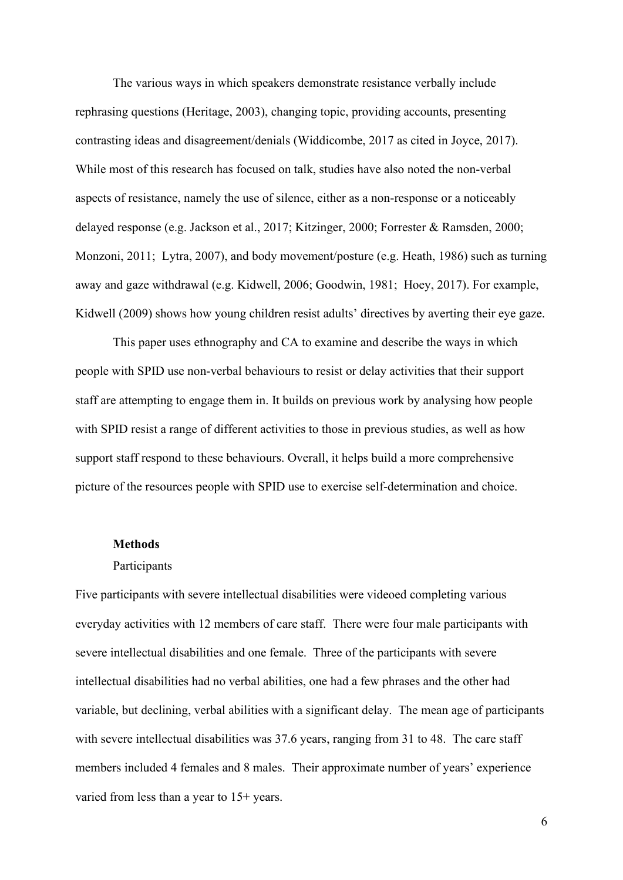The various ways in which speakers demonstrate resistance verbally include rephrasing questions (Heritage, 2003), changing topic, providing accounts, presenting contrasting ideas and disagreement/denials (Widdicombe, 2017 as cited in Joyce, 2017). While most of this research has focused on talk, studies have also noted the non-verbal aspects of resistance, namely the use of silence, either as a non-response or a noticeably delayed response (e.g. Jackson et al., 2017; Kitzinger, 2000; Forrester & Ramsden, 2000; Monzoni, 2011; Lytra, 2007), and body movement/posture (e.g. Heath, 1986) such as turning away and gaze withdrawal (e.g. Kidwell, 2006; Goodwin, 1981; Hoey, 2017). For example, Kidwell (2009) shows how young children resist adults' directives by averting their eye gaze.

This paper uses ethnography and CA to examine and describe the ways in which people with SPID use non-verbal behaviours to resist or delay activities that their support staff are attempting to engage them in. It builds on previous work by analysing how people with SPID resist a range of different activities to those in previous studies, as well as how support staff respond to these behaviours. Overall, it helps build a more comprehensive picture of the resources people with SPID use to exercise self-determination and choice.

## **Methods**

#### Participants

Five participants with severe intellectual disabilities were videoed completing various everyday activities with 12 members of care staff. There were four male participants with severe intellectual disabilities and one female. Three of the participants with severe intellectual disabilities had no verbal abilities, one had a few phrases and the other had variable, but declining, verbal abilities with a significant delay. The mean age of participants with severe intellectual disabilities was 37.6 years, ranging from 31 to 48. The care staff members included 4 females and 8 males. Their approximate number of years' experience varied from less than a year to 15+ years.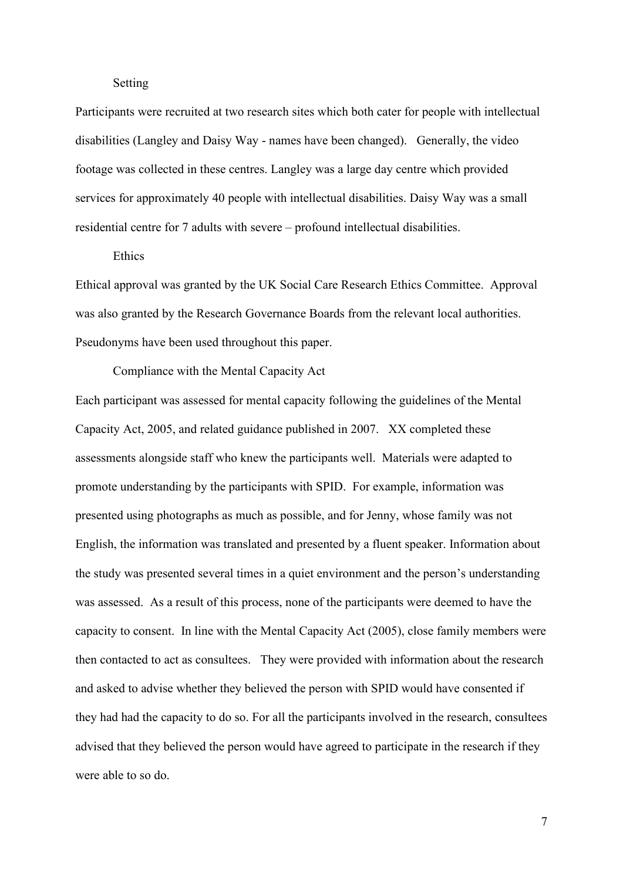## Setting

Participants were recruited at two research sites which both cater for people with intellectual disabilities (Langley and Daisy Way - names have been changed). Generally, the video footage was collected in these centres. Langley was a large day centre which provided services for approximately 40 people with intellectual disabilities. Daisy Way was a small residential centre for 7 adults with severe – profound intellectual disabilities.

#### **Ethics**

Ethical approval was granted by the UK Social Care Research Ethics Committee. Approval was also granted by the Research Governance Boards from the relevant local authorities. Pseudonyms have been used throughout this paper.

Compliance with the Mental Capacity Act

Each participant was assessed for mental capacity following the guidelines of the Mental Capacity Act, 2005, and related guidance published in 2007. XX completed these assessments alongside staff who knew the participants well. Materials were adapted to promote understanding by the participants with SPID. For example, information was presented using photographs as much as possible, and for Jenny, whose family was not English, the information was translated and presented by a fluent speaker. Information about the study was presented several times in a quiet environment and the person's understanding was assessed. As a result of this process, none of the participants were deemed to have the capacity to consent. In line with the Mental Capacity Act (2005), close family members were then contacted to act as consultees. They were provided with information about the research and asked to advise whether they believed the person with SPID would have consented if they had had the capacity to do so. For all the participants involved in the research, consultees advised that they believed the person would have agreed to participate in the research if they were able to so do.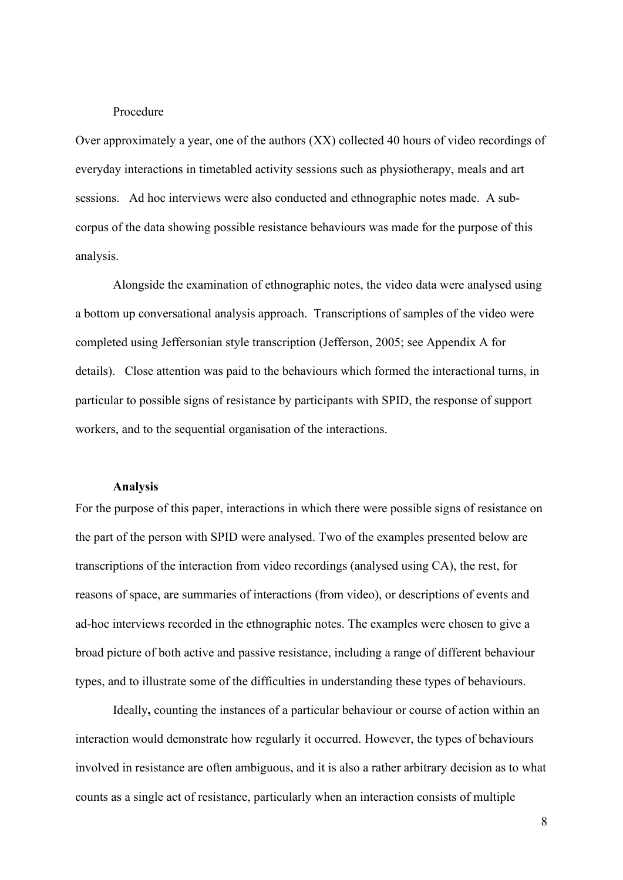## Procedure

Over approximately a year, one of the authors (XX) collected 40 hours of video recordings of everyday interactions in timetabled activity sessions such as physiotherapy, meals and art sessions. Ad hoc interviews were also conducted and ethnographic notes made. A subcorpus of the data showing possible resistance behaviours was made for the purpose of this analysis.

Alongside the examination of ethnographic notes, the video data were analysed using a bottom up conversational analysis approach. Transcriptions of samples of the video were completed using Jeffersonian style transcription (Jefferson, 2005; see Appendix A for details). Close attention was paid to the behaviours which formed the interactional turns, in particular to possible signs of resistance by participants with SPID, the response of support workers, and to the sequential organisation of the interactions.

#### **Analysis**

For the purpose of this paper, interactions in which there were possible signs of resistance on the part of the person with SPID were analysed. Two of the examples presented below are transcriptions of the interaction from video recordings (analysed using CA), the rest, for reasons of space, are summaries of interactions (from video), or descriptions of events and ad-hoc interviews recorded in the ethnographic notes. The examples were chosen to give a broad picture of both active and passive resistance, including a range of different behaviour types, and to illustrate some of the difficulties in understanding these types of behaviours.

Ideally**,** counting the instances of a particular behaviour or course of action within an interaction would demonstrate how regularly it occurred. However, the types of behaviours involved in resistance are often ambiguous, and it is also a rather arbitrary decision as to what counts as a single act of resistance, particularly when an interaction consists of multiple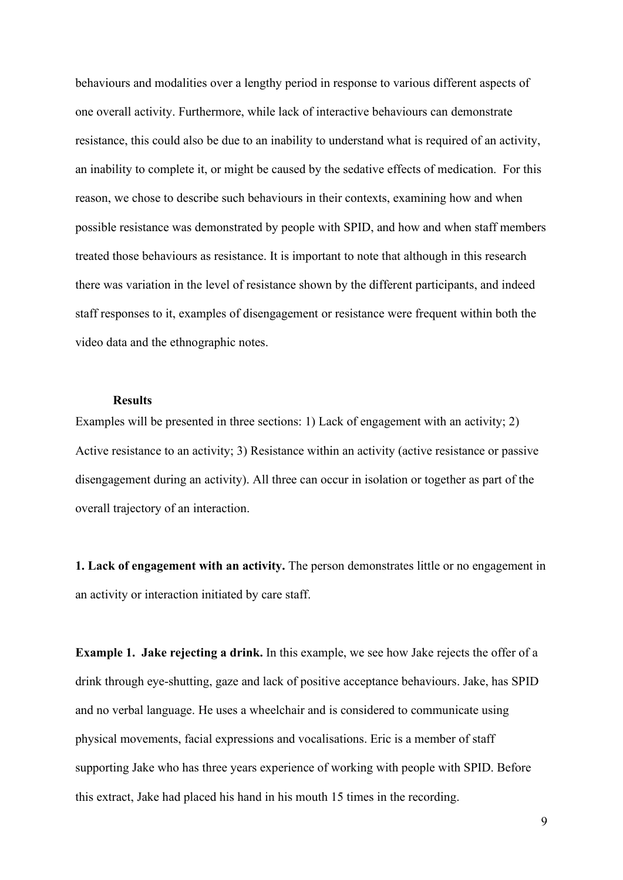behaviours and modalities over a lengthy period in response to various different aspects of one overall activity. Furthermore, while lack of interactive behaviours can demonstrate resistance, this could also be due to an inability to understand what is required of an activity, an inability to complete it, or might be caused by the sedative effects of medication. For this reason, we chose to describe such behaviours in their contexts, examining how and when possible resistance was demonstrated by people with SPID, and how and when staff members treated those behaviours as resistance. It is important to note that although in this research there was variation in the level of resistance shown by the different participants, and indeed staff responses to it, examples of disengagement or resistance were frequent within both the video data and the ethnographic notes.

# **Results**

Examples will be presented in three sections: 1) Lack of engagement with an activity; 2) Active resistance to an activity; 3) Resistance within an activity (active resistance or passive disengagement during an activity). All three can occur in isolation or together as part of the overall trajectory of an interaction.

**1. Lack of engagement with an activity.** The person demonstrates little or no engagement in an activity or interaction initiated by care staff.

**Example 1. Jake rejecting a drink.** In this example, we see how Jake rejects the offer of a drink through eye-shutting, gaze and lack of positive acceptance behaviours. Jake, has SPID and no verbal language. He uses a wheelchair and is considered to communicate using physical movements, facial expressions and vocalisations. Eric is a member of staff supporting Jake who has three years experience of working with people with SPID. Before this extract, Jake had placed his hand in his mouth 15 times in the recording.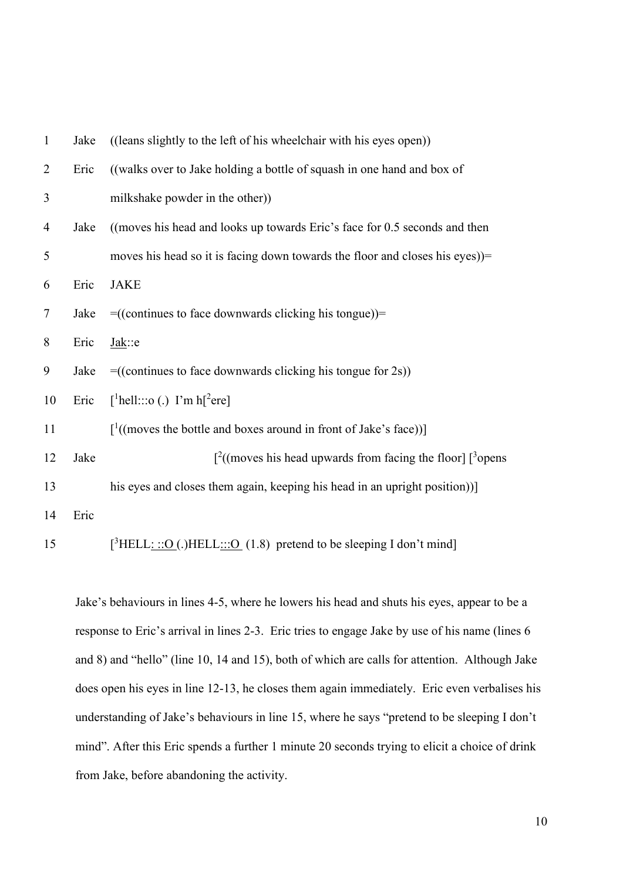| $\mathbf{1}$   | Jake | ((leans slightly to the left of his wheelchair with his eyes open))                |  |  |
|----------------|------|------------------------------------------------------------------------------------|--|--|
| $\overline{2}$ | Eric | ((walks over to Jake holding a bottle of squash in one hand and box of             |  |  |
| 3              |      | milkshake powder in the other))                                                    |  |  |
| $\overline{4}$ | Jake | ((moves his head and looks up towards Eric's face for 0.5 seconds and then         |  |  |
| 5              |      | moves his head so it is facing down towards the floor and closes his eyes))=       |  |  |
| 6              | Eric | <b>JAKE</b>                                                                        |  |  |
| $\tau$         | Jake | $= ((continuous to face downwards clicking his tongue)) =$                         |  |  |
| 8              | Eric | $Jak$ :e                                                                           |  |  |
| 9              | Jake | $= ((continuous to face downwards clicking his tongue for 2s))$                    |  |  |
| 10             | Eric | [ <sup>1</sup> hell:::o (.) I'm h[ <sup>2</sup> ere]                               |  |  |
| 11             |      | $\int$ <sup>1</sup> ((moves the bottle and boxes around in front of Jake's face))] |  |  |
| 12             | Jake | $\int_0^2$ (moves his head upwards from facing the floor] $\int_0^3$ opens         |  |  |
| 13             |      | his eyes and closes them again, keeping his head in an upright position))]         |  |  |
| 14             | Eric |                                                                                    |  |  |
| 15             |      | $[{}^{3}$ HELL: ::O(.)HELL:::O (1.8) pretend to be sleeping I don't mind]          |  |  |

Jake's behaviours in lines 4-5, where he lowers his head and shuts his eyes, appear to be a response to Eric's arrival in lines 2-3. Eric tries to engage Jake by use of his name (lines 6 and 8) and "hello" (line 10, 14 and 15), both of which are calls for attention. Although Jake does open his eyes in line 12-13, he closes them again immediately. Eric even verbalises his understanding of Jake's behaviours in line 15, where he says "pretend to be sleeping I don't mind". After this Eric spends a further 1 minute 20 seconds trying to elicit a choice of drink from Jake, before abandoning the activity.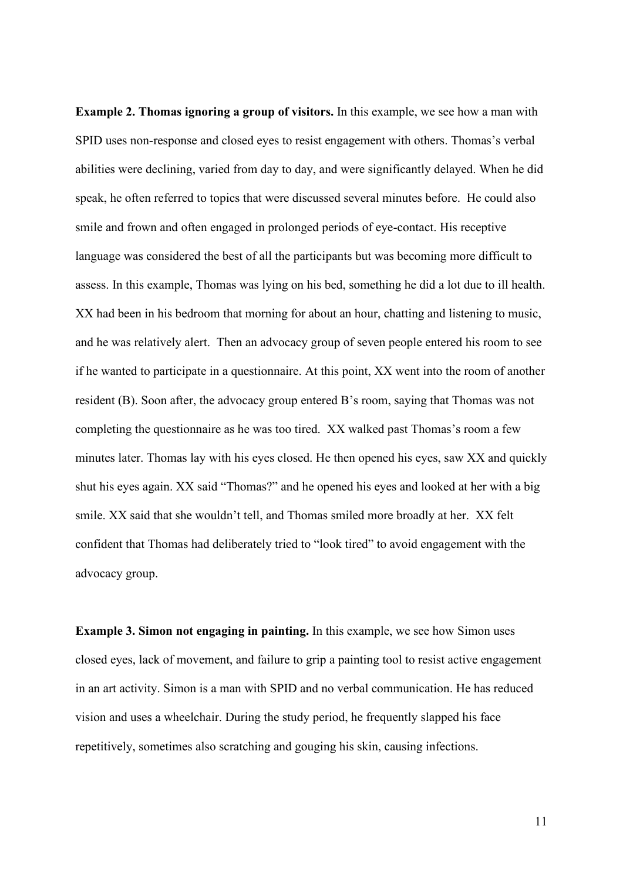**Example 2. Thomas ignoring a group of visitors.** In this example, we see how a man with SPID uses non-response and closed eyes to resist engagement with others. Thomas's verbal abilities were declining, varied from day to day, and were significantly delayed. When he did speak, he often referred to topics that were discussed several minutes before. He could also smile and frown and often engaged in prolonged periods of eye-contact. His receptive language was considered the best of all the participants but was becoming more difficult to assess. In this example, Thomas was lying on his bed, something he did a lot due to ill health. XX had been in his bedroom that morning for about an hour, chatting and listening to music, and he was relatively alert. Then an advocacy group of seven people entered his room to see if he wanted to participate in a questionnaire. At this point, XX went into the room of another resident (B). Soon after, the advocacy group entered B's room, saying that Thomas was not completing the questionnaire as he was too tired. XX walked past Thomas's room a few minutes later. Thomas lay with his eyes closed. He then opened his eyes, saw XX and quickly shut his eyes again. XX said "Thomas?" and he opened his eyes and looked at her with a big smile. XX said that she wouldn't tell, and Thomas smiled more broadly at her. XX felt confident that Thomas had deliberately tried to "look tired" to avoid engagement with the advocacy group.

**Example 3. Simon not engaging in painting.** In this example, we see how Simon uses closed eyes, lack of movement, and failure to grip a painting tool to resist active engagement in an art activity. Simon is a man with SPID and no verbal communication. He has reduced vision and uses a wheelchair. During the study period, he frequently slapped his face repetitively, sometimes also scratching and gouging his skin, causing infections.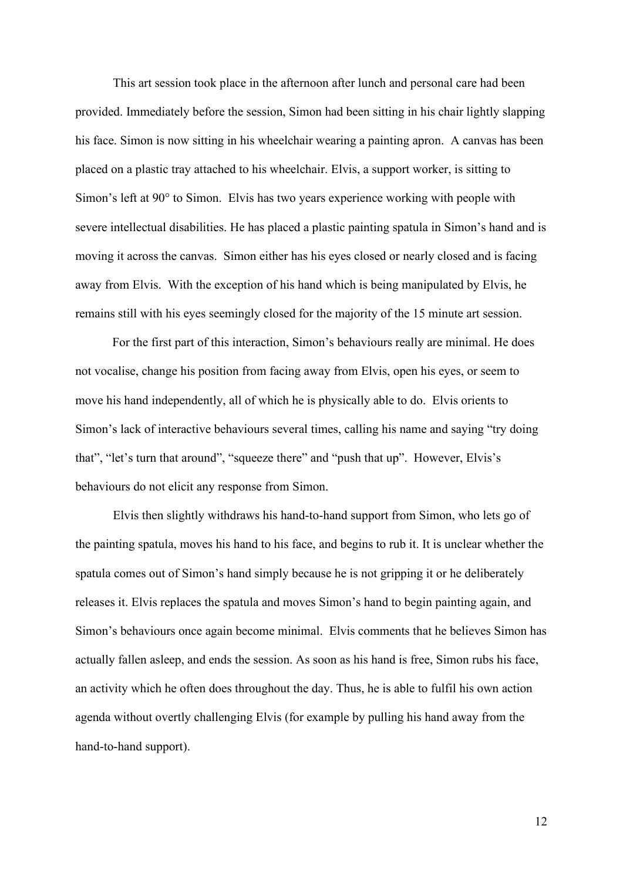This art session took place in the afternoon after lunch and personal care had been provided. Immediately before the session, Simon had been sitting in his chair lightly slapping his face. Simon is now sitting in his wheelchair wearing a painting apron. A canvas has been placed on a plastic tray attached to his wheelchair. Elvis, a support worker, is sitting to Simon's left at 90° to Simon. Elvis has two years experience working with people with severe intellectual disabilities. He has placed a plastic painting spatula in Simon's hand and is moving it across the canvas. Simon either has his eyes closed or nearly closed and is facing away from Elvis. With the exception of his hand which is being manipulated by Elvis, he remains still with his eyes seemingly closed for the majority of the 15 minute art session.

For the first part of this interaction, Simon's behaviours really are minimal. He does not vocalise, change his position from facing away from Elvis, open his eyes, or seem to move his hand independently, all of which he is physically able to do. Elvis orients to Simon's lack of interactive behaviours several times, calling his name and saying "try doing that", "let's turn that around", "squeeze there" and "push that up". However, Elvis's behaviours do not elicit any response from Simon.

Elvis then slightly withdraws his hand-to-hand support from Simon, who lets go of the painting spatula, moves his hand to his face, and begins to rub it. It is unclear whether the spatula comes out of Simon's hand simply because he is not gripping it or he deliberately releases it. Elvis replaces the spatula and moves Simon's hand to begin painting again, and Simon's behaviours once again become minimal. Elvis comments that he believes Simon has actually fallen asleep, and ends the session. As soon as his hand is free, Simon rubs his face, an activity which he often does throughout the day. Thus, he is able to fulfil his own action agenda without overtly challenging Elvis (for example by pulling his hand away from the hand-to-hand support).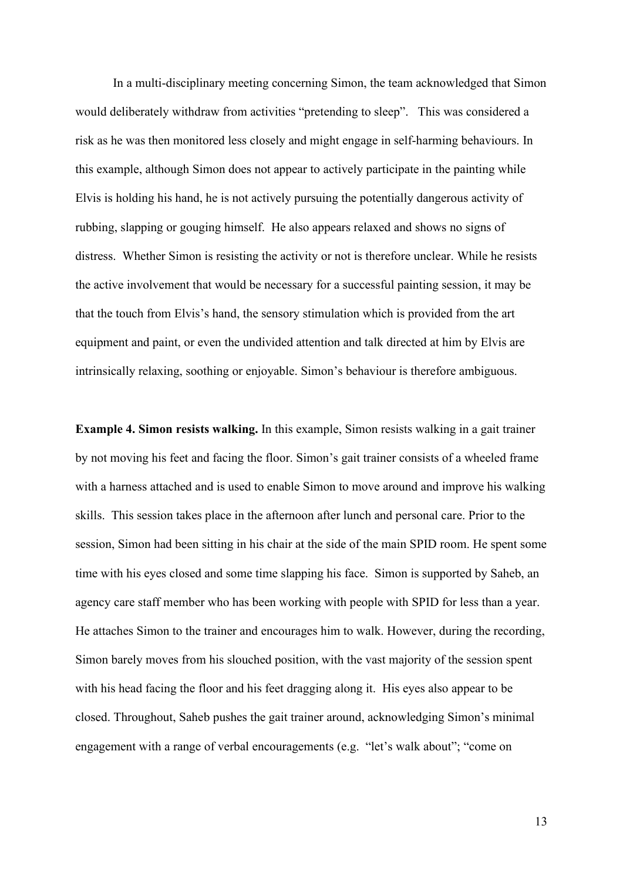In a multi-disciplinary meeting concerning Simon, the team acknowledged that Simon would deliberately withdraw from activities "pretending to sleep". This was considered a risk as he was then monitored less closely and might engage in self-harming behaviours. In this example, although Simon does not appear to actively participate in the painting while Elvis is holding his hand, he is not actively pursuing the potentially dangerous activity of rubbing, slapping or gouging himself. He also appears relaxed and shows no signs of distress. Whether Simon is resisting the activity or not is therefore unclear. While he resists the active involvement that would be necessary for a successful painting session, it may be that the touch from Elvis's hand, the sensory stimulation which is provided from the art equipment and paint, or even the undivided attention and talk directed at him by Elvis are intrinsically relaxing, soothing or enjoyable. Simon's behaviour is therefore ambiguous.

**Example 4. Simon resists walking.** In this example, Simon resists walking in a gait trainer by not moving his feet and facing the floor. Simon's gait trainer consists of a wheeled frame with a harness attached and is used to enable Simon to move around and improve his walking skills. This session takes place in the afternoon after lunch and personal care. Prior to the session, Simon had been sitting in his chair at the side of the main SPID room. He spent some time with his eyes closed and some time slapping his face. Simon is supported by Saheb, an agency care staff member who has been working with people with SPID for less than a year. He attaches Simon to the trainer and encourages him to walk. However, during the recording, Simon barely moves from his slouched position, with the vast majority of the session spent with his head facing the floor and his feet dragging along it. His eyes also appear to be closed. Throughout, Saheb pushes the gait trainer around, acknowledging Simon's minimal engagement with a range of verbal encouragements (e.g. "let's walk about"; "come on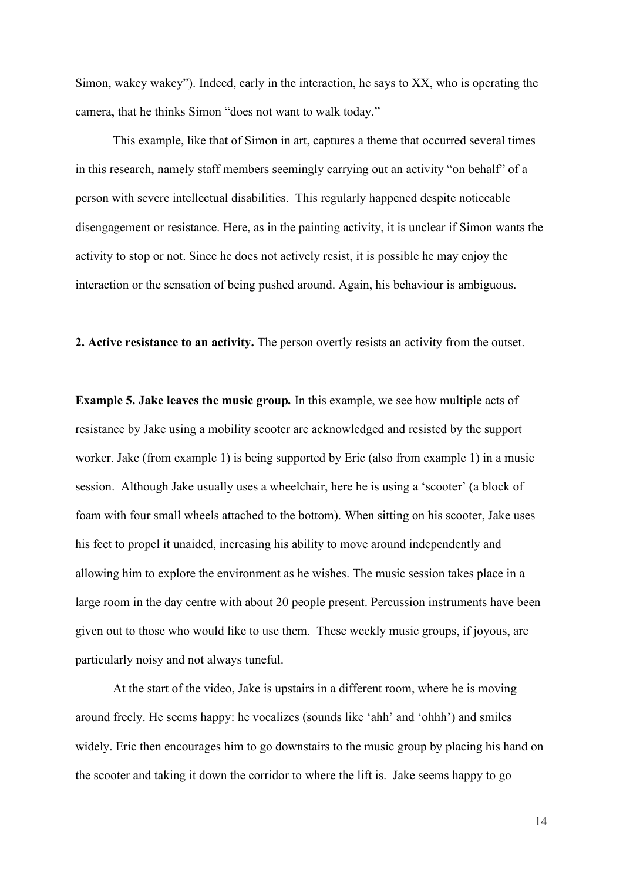Simon, wakey wakey"). Indeed, early in the interaction, he says to XX, who is operating the camera, that he thinks Simon "does not want to walk today."

This example, like that of Simon in art, captures a theme that occurred several times in this research, namely staff members seemingly carrying out an activity "on behalf" of a person with severe intellectual disabilities. This regularly happened despite noticeable disengagement or resistance. Here, as in the painting activity, it is unclear if Simon wants the activity to stop or not. Since he does not actively resist, it is possible he may enjoy the interaction or the sensation of being pushed around. Again, his behaviour is ambiguous.

**2. Active resistance to an activity.** The person overtly resists an activity from the outset.

**Example 5. Jake leaves the music group***.* In this example, we see how multiple acts of resistance by Jake using a mobility scooter are acknowledged and resisted by the support worker. Jake (from example 1) is being supported by Eric (also from example 1) in a music session. Although Jake usually uses a wheelchair, here he is using a 'scooter' (a block of foam with four small wheels attached to the bottom). When sitting on his scooter, Jake uses his feet to propel it unaided, increasing his ability to move around independently and allowing him to explore the environment as he wishes. The music session takes place in a large room in the day centre with about 20 people present. Percussion instruments have been given out to those who would like to use them. These weekly music groups, if joyous, are particularly noisy and not always tuneful.

At the start of the video, Jake is upstairs in a different room, where he is moving around freely. He seems happy: he vocalizes (sounds like 'ahh' and 'ohhh') and smiles widely. Eric then encourages him to go downstairs to the music group by placing his hand on the scooter and taking it down the corridor to where the lift is. Jake seems happy to go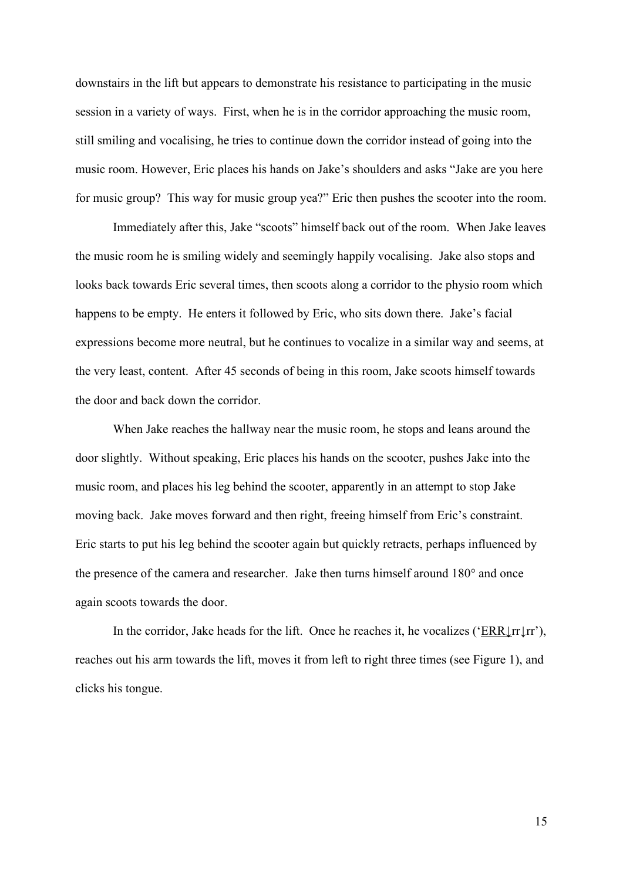downstairs in the lift but appears to demonstrate his resistance to participating in the music session in a variety of ways. First, when he is in the corridor approaching the music room, still smiling and vocalising, he tries to continue down the corridor instead of going into the music room. However, Eric places his hands on Jake's shoulders and asks "Jake are you here for music group? This way for music group yea?" Eric then pushes the scooter into the room.

Immediately after this, Jake "scoots" himself back out of the room. When Jake leaves the music room he is smiling widely and seemingly happily vocalising. Jake also stops and looks back towards Eric several times, then scoots along a corridor to the physio room which happens to be empty. He enters it followed by Eric, who sits down there. Jake's facial expressions become more neutral, but he continues to vocalize in a similar way and seems, at the very least, content. After 45 seconds of being in this room, Jake scoots himself towards the door and back down the corridor.

When Jake reaches the hallway near the music room, he stops and leans around the door slightly. Without speaking, Eric places his hands on the scooter, pushes Jake into the music room, and places his leg behind the scooter, apparently in an attempt to stop Jake moving back. Jake moves forward and then right, freeing himself from Eric's constraint. Eric starts to put his leg behind the scooter again but quickly retracts, perhaps influenced by the presence of the camera and researcher. Jake then turns himself around 180° and once again scoots towards the door.

In the corridor, Jake heads for the lift. Once he reaches it, he vocalizes ('ERR $\downarrow$ rr'), reaches out his arm towards the lift, moves it from left to right three times (see Figure 1), and clicks his tongue.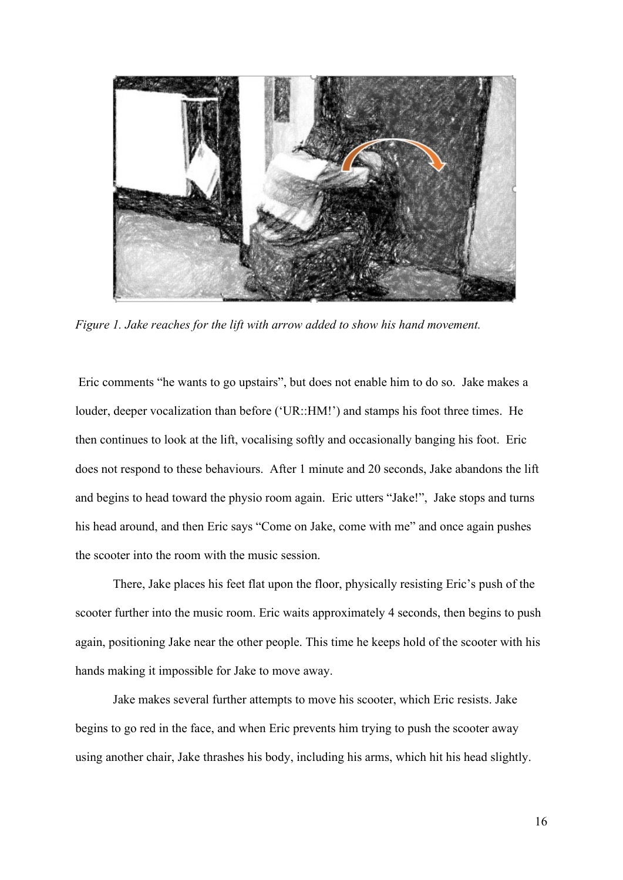

*Figure 1. Jake reaches for the lift with arrow added to show his hand movement.*

Eric comments "he wants to go upstairs", but does not enable him to do so. Jake makes a louder, deeper vocalization than before ('UR::HM!') and stamps his foot three times. He then continues to look at the lift, vocalising softly and occasionally banging his foot. Eric does not respond to these behaviours. After 1 minute and 20 seconds, Jake abandons the lift and begins to head toward the physio room again. Eric utters "Jake!", Jake stops and turns his head around, and then Eric says "Come on Jake, come with me" and once again pushes the scooter into the room with the music session.

There, Jake places his feet flat upon the floor, physically resisting Eric's push of the scooter further into the music room. Eric waits approximately 4 seconds, then begins to push again, positioning Jake near the other people. This time he keeps hold of the scooter with his hands making it impossible for Jake to move away.

Jake makes several further attempts to move his scooter, which Eric resists. Jake begins to go red in the face, and when Eric prevents him trying to push the scooter away using another chair, Jake thrashes his body, including his arms, which hit his head slightly.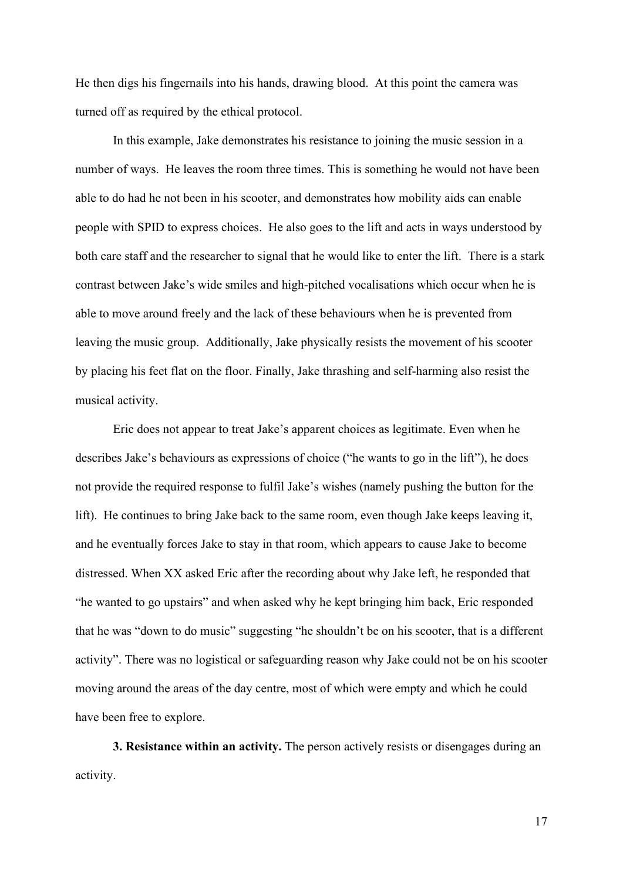He then digs his fingernails into his hands, drawing blood. At this point the camera was turned off as required by the ethical protocol.

In this example, Jake demonstrates his resistance to joining the music session in a number of ways. He leaves the room three times. This is something he would not have been able to do had he not been in his scooter, and demonstrates how mobility aids can enable people with SPID to express choices. He also goes to the lift and acts in ways understood by both care staff and the researcher to signal that he would like to enter the lift. There is a stark contrast between Jake's wide smiles and high-pitched vocalisations which occur when he is able to move around freely and the lack of these behaviours when he is prevented from leaving the music group. Additionally, Jake physically resists the movement of his scooter by placing his feet flat on the floor. Finally, Jake thrashing and self-harming also resist the musical activity.

Eric does not appear to treat Jake's apparent choices as legitimate. Even when he describes Jake's behaviours as expressions of choice ("he wants to go in the lift"), he does not provide the required response to fulfil Jake's wishes (namely pushing the button for the lift). He continues to bring Jake back to the same room, even though Jake keeps leaving it, and he eventually forces Jake to stay in that room, which appears to cause Jake to become distressed. When XX asked Eric after the recording about why Jake left, he responded that "he wanted to go upstairs" and when asked why he kept bringing him back, Eric responded that he was "down to do music" suggesting "he shouldn't be on his scooter, that is a different activity". There was no logistical or safeguarding reason why Jake could not be on his scooter moving around the areas of the day centre, most of which were empty and which he could have been free to explore.

**3. Resistance within an activity.** The person actively resists or disengages during an activity.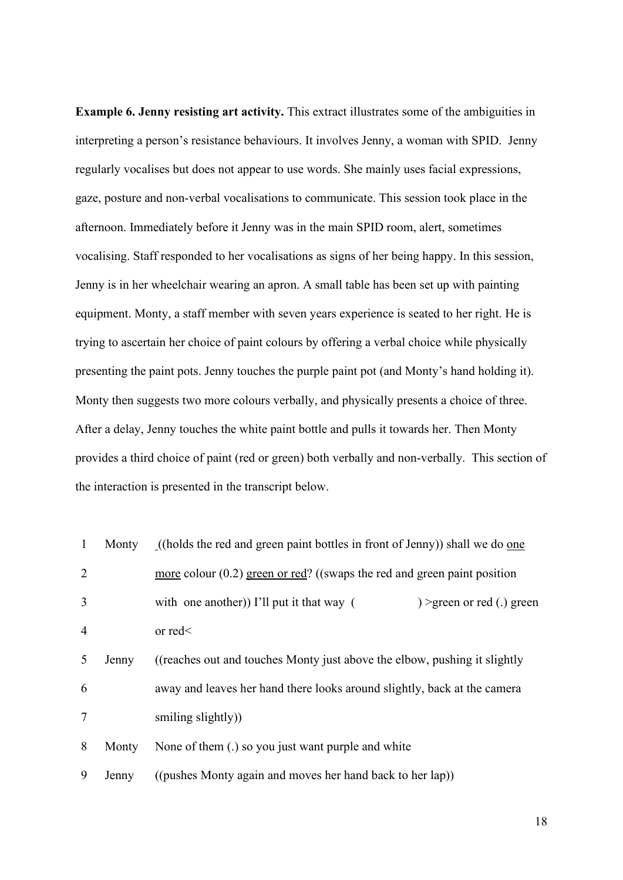**Example 6. Jenny resisting art activity.** This extract illustrates some of the ambiguities in interpreting a person's resistance behaviours. It involves Jenny, a woman with SPID. Jenny regularly vocalises but does not appear to use words. She mainly uses facial expressions, gaze, posture and non-verbal vocalisations to communicate. This session took place in the afternoon. Immediately before it Jenny was in the main SPID room, alert, sometimes vocalising. Staff responded to her vocalisations as signs of her being happy. In this session, Jenny is in her wheelchair wearing an apron. A small table has been set up with painting equipment. Monty, a staff member with seven years experience is seated to her right. He is trying to ascertain her choice of paint colours by offering a verbal choice while physically presenting the paint pots. Jenny touches the purple paint pot (and Monty's hand holding it). Monty then suggests two more colours verbally, and physically presents a choice of three. After a delay, Jenny touches the white paint bottle and pulls it towards her. Then Monty provides a third choice of paint (red or green) both verbally and non-verbally. This section of the interaction is presented in the transcript below.

| $\mathbf{1}$   | Monty | ((holds the red and green paint bottles in front of Jenny)) shall we do one       |  |  |
|----------------|-------|-----------------------------------------------------------------------------------|--|--|
| 2              |       | <u>more</u> colour $(0.2)$ green or red? ((swaps the red and green paint position |  |  |
| 3              |       | with one another)) I'll put it that way $($<br>) > green or red (.) green         |  |  |
| $\overline{4}$ |       | or $red <$                                                                        |  |  |
| 5              | Jenny | ((reaches out and touches Monty just above the elbow, pushing it slightly)        |  |  |
| 6              |       | away and leaves her hand there looks around slightly, back at the camera          |  |  |
| $\overline{7}$ |       | smiling slightly)                                                                 |  |  |
| 8              | Monty | None of them (.) so you just want purple and white                                |  |  |
| 9              | Jenny | ((pushes Monty again and moves her hand back to her lap))                         |  |  |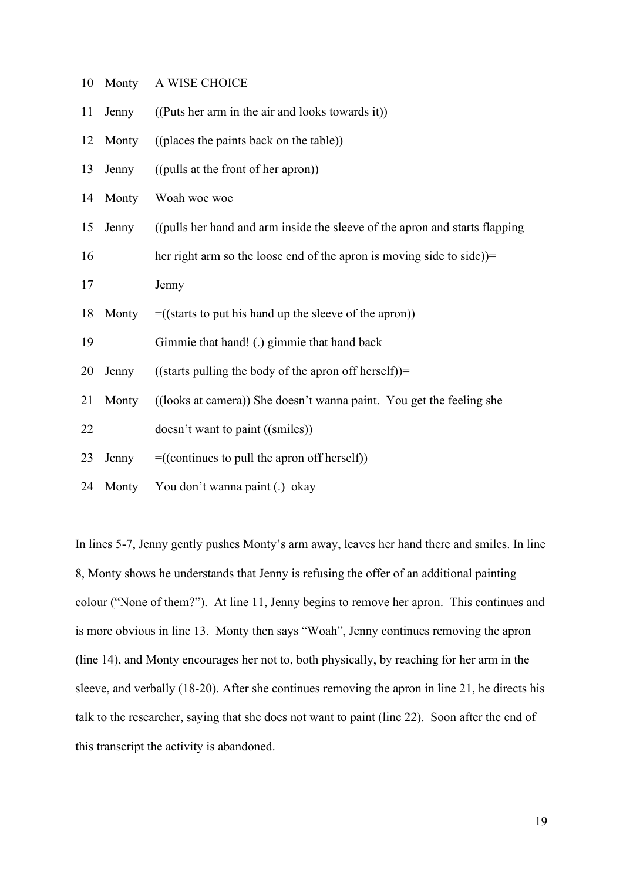| 10 | Monty | A WISE CHOICE                                                               |  |  |  |
|----|-------|-----------------------------------------------------------------------------|--|--|--|
| 11 | Jenny | ((Puts her arm in the air and looks towards it))                            |  |  |  |
| 12 | Monty | ((places the paints back on the table))                                     |  |  |  |
| 13 | Jenny | ((pulls at the front of her apron))                                         |  |  |  |
| 14 | Monty | Woah woe woe                                                                |  |  |  |
| 15 | Jenny | ((pulls her hand and arm inside the sleeve of the apron and starts flapping |  |  |  |
| 16 |       | her right arm so the loose end of the apron is moving side to side))=       |  |  |  |
| 17 |       | Jenny                                                                       |  |  |  |
| 18 | Monty | $= ((\text{starts to put his hand up the sleeve of the apron}))$            |  |  |  |
| 19 |       | Gimmie that hand! (.) gimmie that hand back                                 |  |  |  |
| 20 | Jenny | ((starts pulling the body of the apron off herself))=                       |  |  |  |
| 21 | Monty | ((looks at camera)) She doesn't wanna paint. You get the feeling she        |  |  |  |
| 22 |       | doesn't want to paint ((smiles))                                            |  |  |  |
| 23 | Jenny | $= ((continuous to pull the a pron off herself))$                           |  |  |  |
| 24 | Monty | You don't wanna paint (.) okay                                              |  |  |  |

In lines 5-7, Jenny gently pushes Monty's arm away, leaves her hand there and smiles. In line 8, Monty shows he understands that Jenny is refusing the offer of an additional painting colour ("None of them?"). At line 11, Jenny begins to remove her apron. This continues and is more obvious in line 13. Monty then says "Woah", Jenny continues removing the apron (line 14), and Monty encourages her not to, both physically, by reaching for her arm in the sleeve, and verbally (18-20). After she continues removing the apron in line 21, he directs his talk to the researcher, saying that she does not want to paint (line 22). Soon after the end of this transcript the activity is abandoned.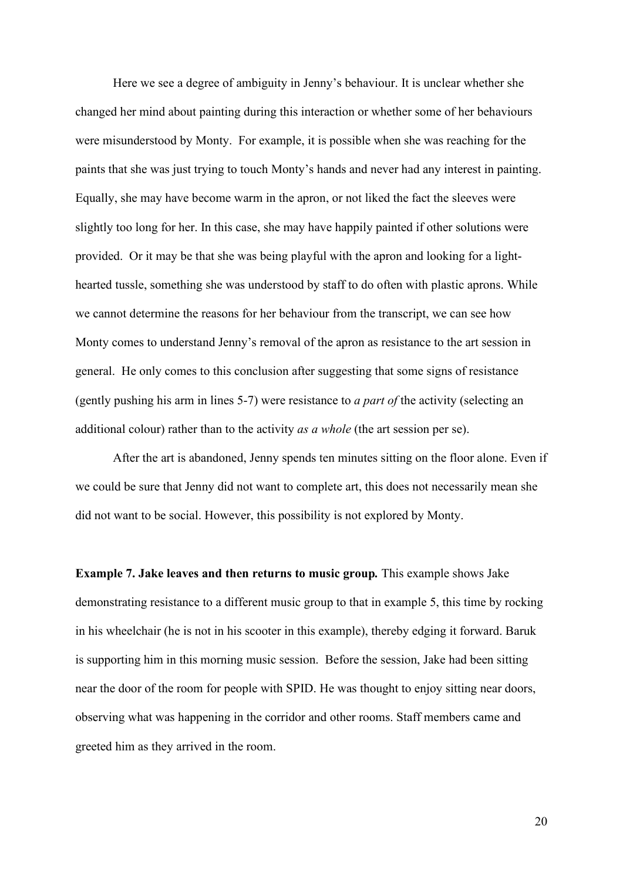Here we see a degree of ambiguity in Jenny's behaviour. It is unclear whether she changed her mind about painting during this interaction or whether some of her behaviours were misunderstood by Monty. For example, it is possible when she was reaching for the paints that she was just trying to touch Monty's hands and never had any interest in painting. Equally, she may have become warm in the apron, or not liked the fact the sleeves were slightly too long for her. In this case, she may have happily painted if other solutions were provided. Or it may be that she was being playful with the apron and looking for a lighthearted tussle, something she was understood by staff to do often with plastic aprons. While we cannot determine the reasons for her behaviour from the transcript, we can see how Monty comes to understand Jenny's removal of the apron as resistance to the art session in general. He only comes to this conclusion after suggesting that some signs of resistance (gently pushing his arm in lines 5-7) were resistance to *a part of* the activity (selecting an additional colour) rather than to the activity *as a whole* (the art session per se).

After the art is abandoned, Jenny spends ten minutes sitting on the floor alone. Even if we could be sure that Jenny did not want to complete art, this does not necessarily mean she did not want to be social. However, this possibility is not explored by Monty.

**Example 7. Jake leaves and then returns to music group***.* This example shows Jake demonstrating resistance to a different music group to that in example 5, this time by rocking in his wheelchair (he is not in his scooter in this example), thereby edging it forward. Baruk is supporting him in this morning music session. Before the session, Jake had been sitting near the door of the room for people with SPID. He was thought to enjoy sitting near doors, observing what was happening in the corridor and other rooms. Staff members came and greeted him as they arrived in the room.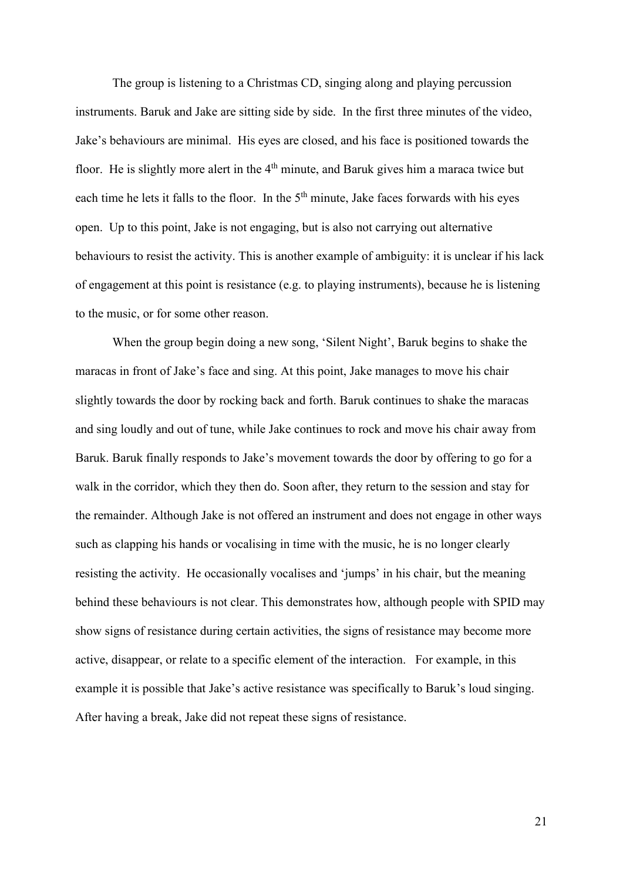The group is listening to a Christmas CD, singing along and playing percussion instruments. Baruk and Jake are sitting side by side. In the first three minutes of the video, Jake's behaviours are minimal. His eyes are closed, and his face is positioned towards the floor. He is slightly more alert in the 4<sup>th</sup> minute, and Baruk gives him a maraca twice but each time he lets it falls to the floor. In the  $5<sup>th</sup>$  minute, Jake faces forwards with his eyes open. Up to this point, Jake is not engaging, but is also not carrying out alternative behaviours to resist the activity. This is another example of ambiguity: it is unclear if his lack of engagement at this point is resistance (e.g. to playing instruments), because he is listening to the music, or for some other reason.

When the group begin doing a new song, 'Silent Night', Baruk begins to shake the maracas in front of Jake's face and sing. At this point, Jake manages to move his chair slightly towards the door by rocking back and forth. Baruk continues to shake the maracas and sing loudly and out of tune, while Jake continues to rock and move his chair away from Baruk. Baruk finally responds to Jake's movement towards the door by offering to go for a walk in the corridor, which they then do. Soon after, they return to the session and stay for the remainder. Although Jake is not offered an instrument and does not engage in other ways such as clapping his hands or vocalising in time with the music, he is no longer clearly resisting the activity. He occasionally vocalises and 'jumps' in his chair, but the meaning behind these behaviours is not clear. This demonstrates how, although people with SPID may show signs of resistance during certain activities, the signs of resistance may become more active, disappear, or relate to a specific element of the interaction. For example, in this example it is possible that Jake's active resistance was specifically to Baruk's loud singing. After having a break, Jake did not repeat these signs of resistance.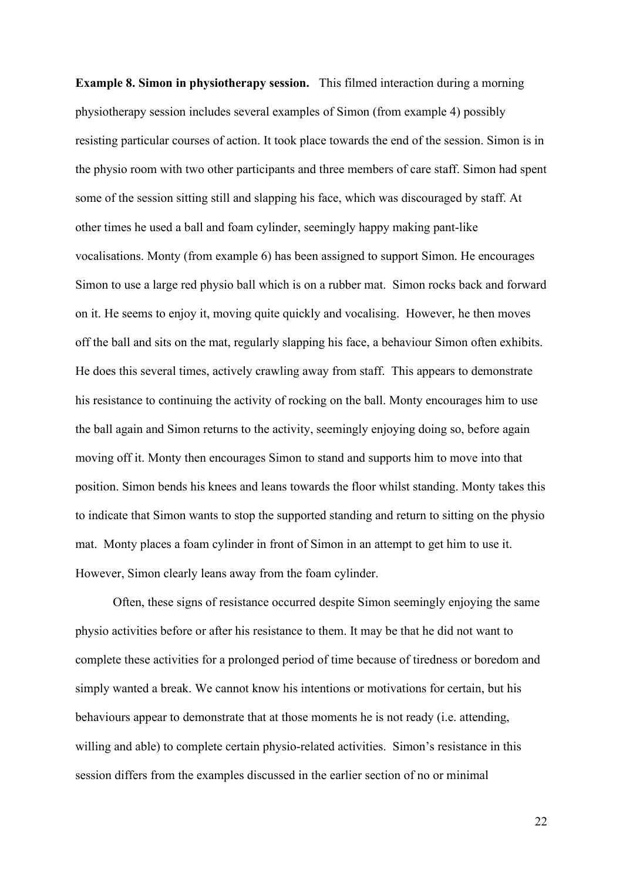**Example 8. Simon in physiotherapy session.** This filmed interaction during a morning physiotherapy session includes several examples of Simon (from example 4) possibly resisting particular courses of action. It took place towards the end of the session. Simon is in the physio room with two other participants and three members of care staff. Simon had spent some of the session sitting still and slapping his face, which was discouraged by staff. At other times he used a ball and foam cylinder, seemingly happy making pant-like vocalisations. Monty (from example 6) has been assigned to support Simon. He encourages Simon to use a large red physio ball which is on a rubber mat. Simon rocks back and forward on it. He seems to enjoy it, moving quite quickly and vocalising. However, he then moves off the ball and sits on the mat, regularly slapping his face, a behaviour Simon often exhibits. He does this several times, actively crawling away from staff. This appears to demonstrate his resistance to continuing the activity of rocking on the ball. Monty encourages him to use the ball again and Simon returns to the activity, seemingly enjoying doing so, before again moving off it. Monty then encourages Simon to stand and supports him to move into that position. Simon bends his knees and leans towards the floor whilst standing. Monty takes this to indicate that Simon wants to stop the supported standing and return to sitting on the physio mat. Monty places a foam cylinder in front of Simon in an attempt to get him to use it. However, Simon clearly leans away from the foam cylinder.

Often, these signs of resistance occurred despite Simon seemingly enjoying the same physio activities before or after his resistance to them. It may be that he did not want to complete these activities for a prolonged period of time because of tiredness or boredom and simply wanted a break. We cannot know his intentions or motivations for certain, but his behaviours appear to demonstrate that at those moments he is not ready (i.e. attending, willing and able) to complete certain physio-related activities. Simon's resistance in this session differs from the examples discussed in the earlier section of no or minimal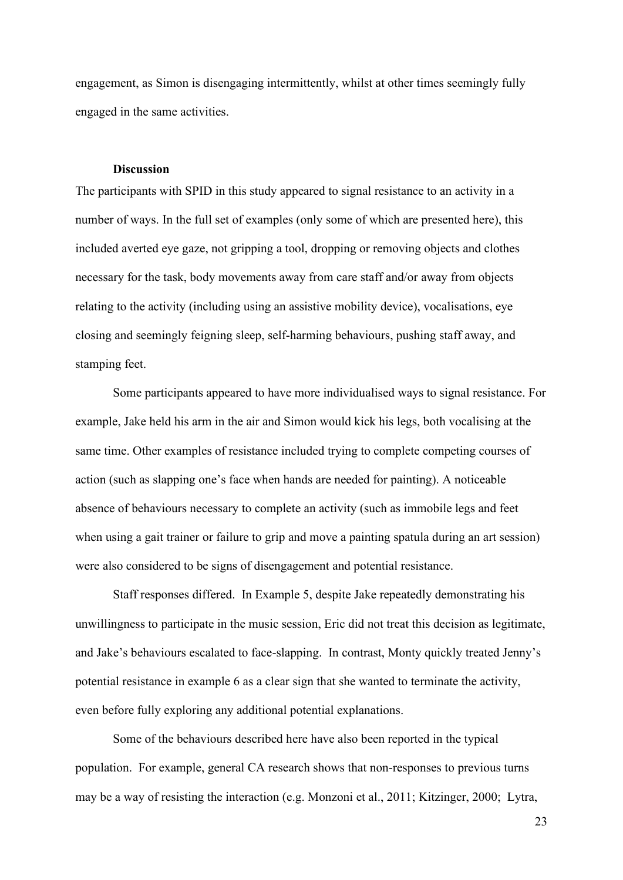engagement, as Simon is disengaging intermittently, whilst at other times seemingly fully engaged in the same activities.

# **Discussion**

The participants with SPID in this study appeared to signal resistance to an activity in a number of ways. In the full set of examples (only some of which are presented here), this included averted eye gaze, not gripping a tool, dropping or removing objects and clothes necessary for the task, body movements away from care staff and/or away from objects relating to the activity (including using an assistive mobility device), vocalisations, eye closing and seemingly feigning sleep, self-harming behaviours, pushing staff away, and stamping feet.

Some participants appeared to have more individualised ways to signal resistance. For example, Jake held his arm in the air and Simon would kick his legs, both vocalising at the same time. Other examples of resistance included trying to complete competing courses of action (such as slapping one's face when hands are needed for painting). A noticeable absence of behaviours necessary to complete an activity (such as immobile legs and feet when using a gait trainer or failure to grip and move a painting spatula during an art session) were also considered to be signs of disengagement and potential resistance.

Staff responses differed. In Example 5, despite Jake repeatedly demonstrating his unwillingness to participate in the music session, Eric did not treat this decision as legitimate, and Jake's behaviours escalated to face-slapping. In contrast, Monty quickly treated Jenny's potential resistance in example 6 as a clear sign that she wanted to terminate the activity, even before fully exploring any additional potential explanations.

Some of the behaviours described here have also been reported in the typical population. For example, general CA research shows that non-responses to previous turns may be a way of resisting the interaction (e.g. Monzoni et al., 2011; Kitzinger, 2000; Lytra,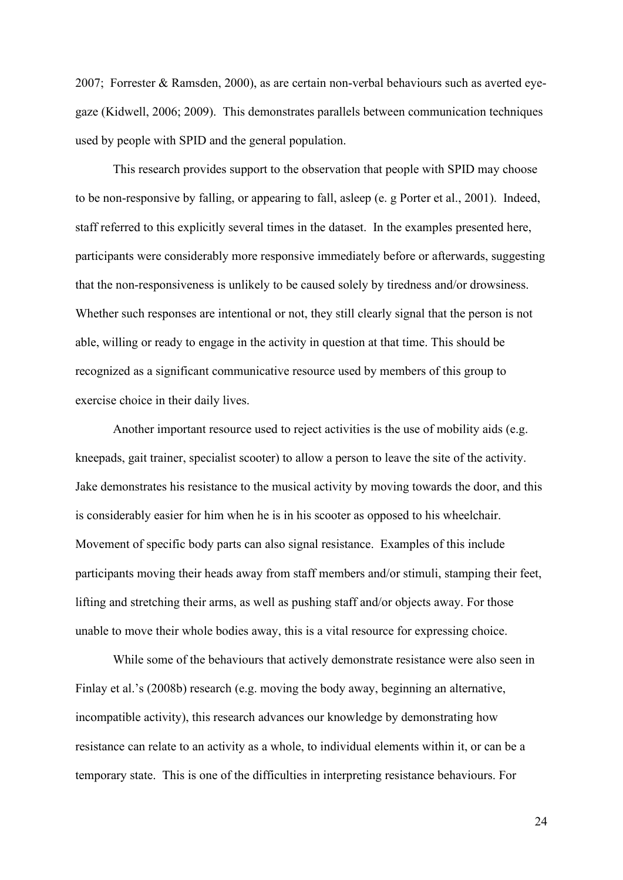2007; Forrester & Ramsden, 2000), as are certain non-verbal behaviours such as averted eyegaze (Kidwell, 2006; 2009). This demonstrates parallels between communication techniques used by people with SPID and the general population.

This research provides support to the observation that people with SPID may choose to be non-responsive by falling, or appearing to fall, asleep (e. g Porter et al., 2001). Indeed, staff referred to this explicitly several times in the dataset. In the examples presented here, participants were considerably more responsive immediately before or afterwards, suggesting that the non-responsiveness is unlikely to be caused solely by tiredness and/or drowsiness. Whether such responses are intentional or not, they still clearly signal that the person is not able, willing or ready to engage in the activity in question at that time. This should be recognized as a significant communicative resource used by members of this group to exercise choice in their daily lives.

Another important resource used to reject activities is the use of mobility aids (e.g. kneepads, gait trainer, specialist scooter) to allow a person to leave the site of the activity. Jake demonstrates his resistance to the musical activity by moving towards the door, and this is considerably easier for him when he is in his scooter as opposed to his wheelchair. Movement of specific body parts can also signal resistance. Examples of this include participants moving their heads away from staff members and/or stimuli, stamping their feet, lifting and stretching their arms, as well as pushing staff and/or objects away. For those unable to move their whole bodies away, this is a vital resource for expressing choice.

While some of the behaviours that actively demonstrate resistance were also seen in Finlay et al.'s (2008b) research (e.g. moving the body away, beginning an alternative, incompatible activity), this research advances our knowledge by demonstrating how resistance can relate to an activity as a whole, to individual elements within it, or can be a temporary state. This is one of the difficulties in interpreting resistance behaviours. For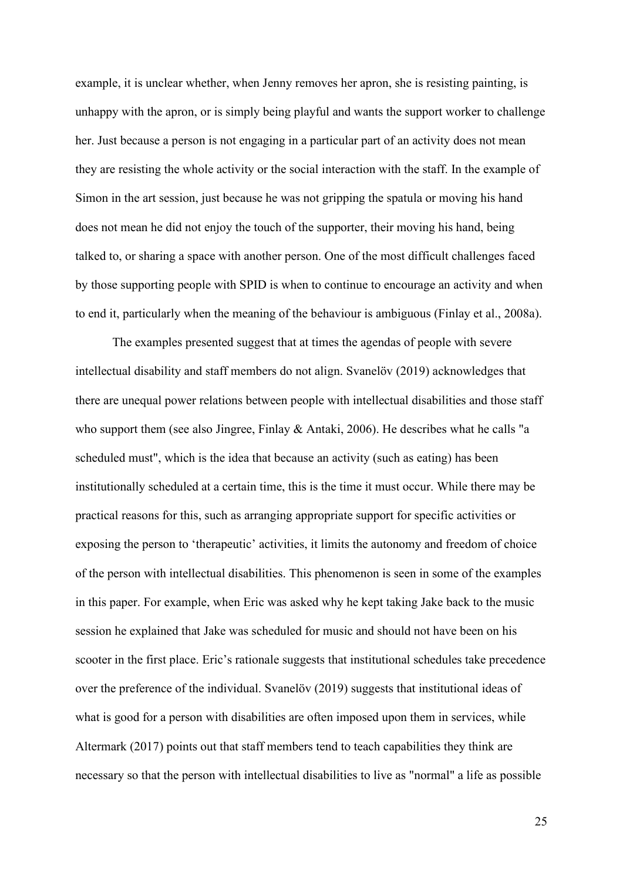example, it is unclear whether, when Jenny removes her apron, she is resisting painting, is unhappy with the apron, or is simply being playful and wants the support worker to challenge her. Just because a person is not engaging in a particular part of an activity does not mean they are resisting the whole activity or the social interaction with the staff. In the example of Simon in the art session, just because he was not gripping the spatula or moving his hand does not mean he did not enjoy the touch of the supporter, their moving his hand, being talked to, or sharing a space with another person. One of the most difficult challenges faced by those supporting people with SPID is when to continue to encourage an activity and when to end it, particularly when the meaning of the behaviour is ambiguous (Finlay et al., 2008a).

The examples presented suggest that at times the agendas of people with severe intellectual disability and staff members do not align. Svanelöv (2019) acknowledges that there are unequal power relations between people with intellectual disabilities and those staff who support them (see also Jingree, Finlay & Antaki, 2006). He describes what he calls "a scheduled must", which is the idea that because an activity (such as eating) has been institutionally scheduled at a certain time, this is the time it must occur. While there may be practical reasons for this, such as arranging appropriate support for specific activities or exposing the person to 'therapeutic' activities, it limits the autonomy and freedom of choice of the person with intellectual disabilities. This phenomenon is seen in some of the examples in this paper. For example, when Eric was asked why he kept taking Jake back to the music session he explained that Jake was scheduled for music and should not have been on his scooter in the first place. Eric's rationale suggests that institutional schedules take precedence over the preference of the individual. Svanelöv (2019) suggests that institutional ideas of what is good for a person with disabilities are often imposed upon them in services, while Altermark (2017) points out that staff members tend to teach capabilities they think are necessary so that the person with intellectual disabilities to live as "normal" a life as possible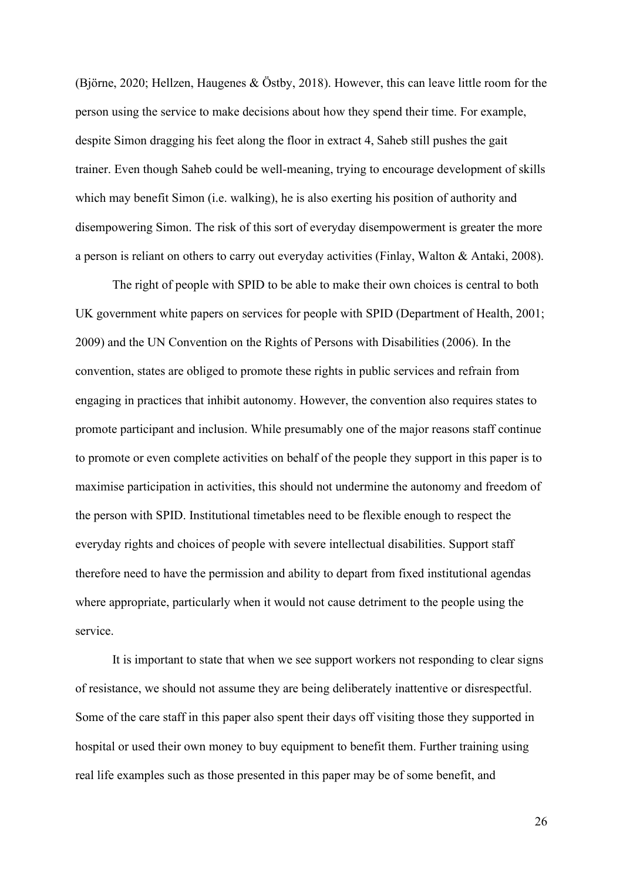(Björne, 2020; Hellzen, Haugenes & Östby, 2018). However, this can leave little room for the person using the service to make decisions about how they spend their time. For example, despite Simon dragging his feet along the floor in extract 4, Saheb still pushes the gait trainer. Even though Saheb could be well-meaning, trying to encourage development of skills which may benefit Simon (i.e. walking), he is also exerting his position of authority and disempowering Simon. The risk of this sort of everyday disempowerment is greater the more a person is reliant on others to carry out everyday activities (Finlay, Walton & Antaki, 2008).

The right of people with SPID to be able to make their own choices is central to both UK government white papers on services for people with SPID (Department of Health, 2001; 2009) and the UN Convention on the Rights of Persons with Disabilities (2006). In the convention, states are obliged to promote these rights in public services and refrain from engaging in practices that inhibit autonomy. However, the convention also requires states to promote participant and inclusion. While presumably one of the major reasons staff continue to promote or even complete activities on behalf of the people they support in this paper is to maximise participation in activities, this should not undermine the autonomy and freedom of the person with SPID. Institutional timetables need to be flexible enough to respect the everyday rights and choices of people with severe intellectual disabilities. Support staff therefore need to have the permission and ability to depart from fixed institutional agendas where appropriate, particularly when it would not cause detriment to the people using the service.

It is important to state that when we see support workers not responding to clear signs of resistance, we should not assume they are being deliberately inattentive or disrespectful. Some of the care staff in this paper also spent their days off visiting those they supported in hospital or used their own money to buy equipment to benefit them. Further training using real life examples such as those presented in this paper may be of some benefit, and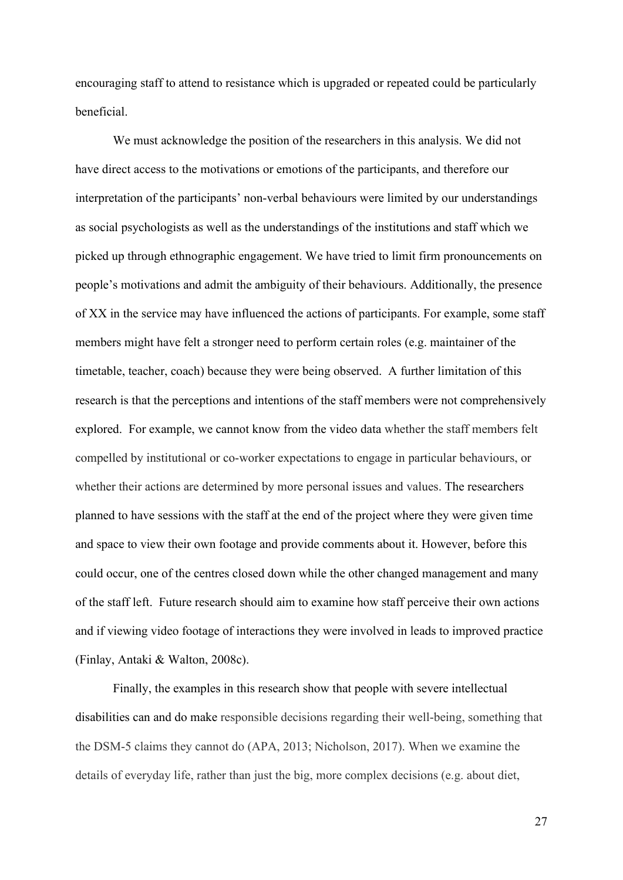encouraging staff to attend to resistance which is upgraded or repeated could be particularly beneficial.

We must acknowledge the position of the researchers in this analysis. We did not have direct access to the motivations or emotions of the participants, and therefore our interpretation of the participants' non-verbal behaviours were limited by our understandings as social psychologists as well as the understandings of the institutions and staff which we picked up through ethnographic engagement. We have tried to limit firm pronouncements on people's motivations and admit the ambiguity of their behaviours. Additionally, the presence of XX in the service may have influenced the actions of participants. For example, some staff members might have felt a stronger need to perform certain roles (e.g. maintainer of the timetable, teacher, coach) because they were being observed. A further limitation of this research is that the perceptions and intentions of the staff members were not comprehensively explored. For example, we cannot know from the video data whether the staff members felt compelled by institutional or co-worker expectations to engage in particular behaviours, or whether their actions are determined by more personal issues and values. The researchers planned to have sessions with the staff at the end of the project where they were given time and space to view their own footage and provide comments about it. However, before this could occur, one of the centres closed down while the other changed management and many of the staff left. Future research should aim to examine how staff perceive their own actions and if viewing video footage of interactions they were involved in leads to improved practice (Finlay, Antaki & Walton, 2008c).

Finally, the examples in this research show that people with severe intellectual disabilities can and do make responsible decisions regarding their well-being, something that the DSM-5 claims they cannot do (APA, 2013; Nicholson, 2017). When we examine the details of everyday life, rather than just the big, more complex decisions (e.g. about diet,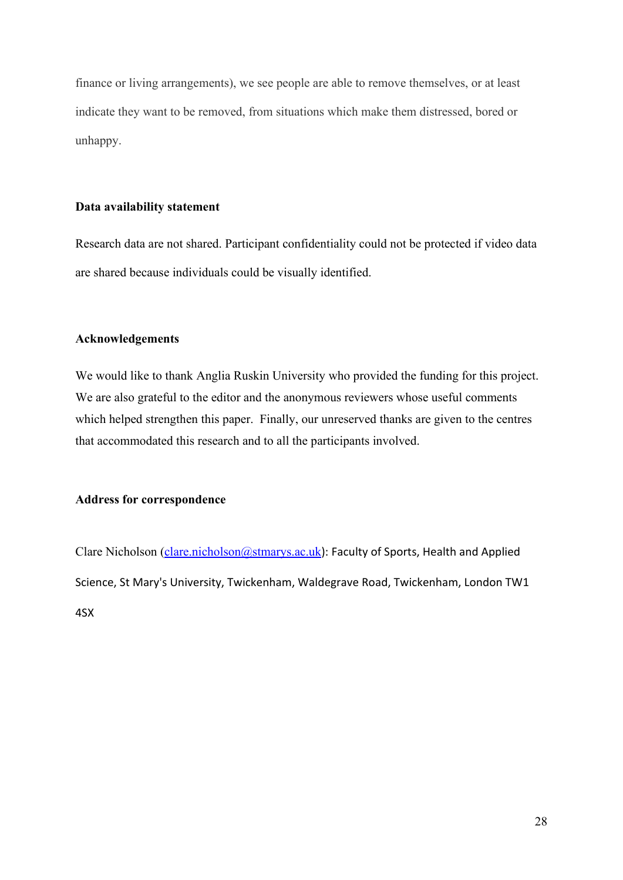finance or living arrangements), we see people are able to remove themselves, or at least indicate they want to be removed, from situations which make them distressed, bored or unhappy.

## **Data availability statement**

Research data are not shared. Participant confidentiality could not be protected if video data are shared because individuals could be visually identified.

# **Acknowledgements**

We would like to thank Anglia Ruskin University who provided the funding for this project. We are also grateful to the editor and the anonymous reviewers whose useful comments which helped strengthen this paper. Finally, our unreserved thanks are given to the centres that accommodated this research and to all the participants involved.

# **Address for correspondence**

Clare Nicholson [\(clare.nicholson@stmarys.ac.uk](mailto:clare.nicholson@stmarys.ac.uk)): Faculty of Sports, Health and Applied Science, St Mary's University, Twickenham, Waldegrave Road, Twickenham, London TW1 4SX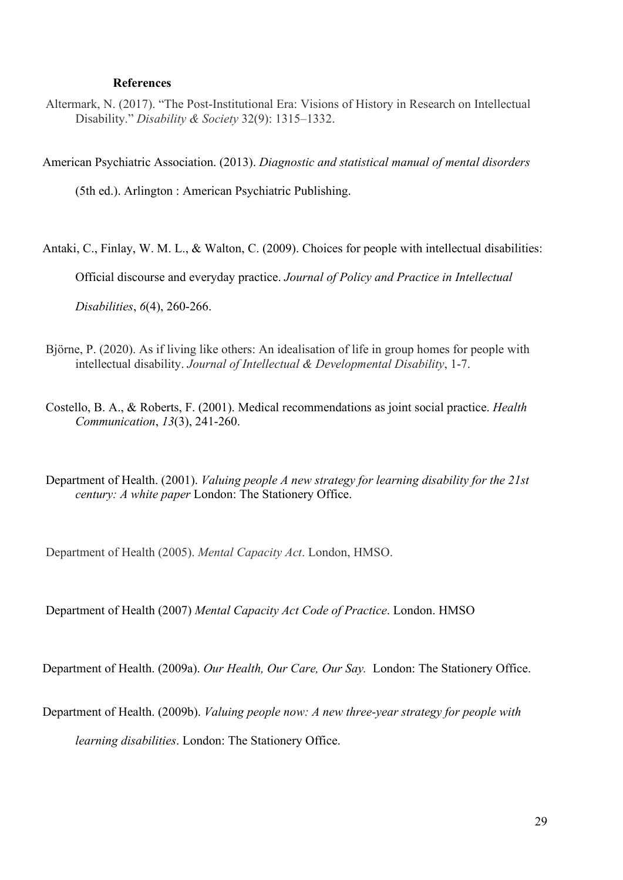# **References**

Altermark, N. (2017). "The Post-Institutional Era: Visions of History in Research on Intellectual Disability." *Disability & Society* 32(9): 1315–1332.

American Psychiatric Association. (2013). *Diagnostic and statistical manual of mental disorders* 

(5th ed.). Arlington : American Psychiatric Publishing.

Antaki, C., Finlay, W. M. L., & Walton, C. (2009). Choices for people with intellectual disabilities:

Official discourse and everyday practice. *Journal of Policy and Practice in Intellectual* 

*Disabilities*, *6*(4), 260-266.

- Björne, P. (2020). As if living like others: An idealisation of life in group homes for people with intellectual disability. *Journal of Intellectual & Developmental Disability*, 1-7.
- Costello, B. A., & Roberts, F. (2001). Medical recommendations as joint social practice. *Health Communication*, *13*(3), 241-260.

Department of Health. (2001). *Valuing people A new strategy for learning disability for the 21st century: A white paper* London: The Stationery Office.

Department of Health (2005). *Mental Capacity Act*. London, HMSO.

Department of Health (2007) *Mental Capacity Act Code of Practice*. London. HMSO

Department of Health. (2009a). *Our Health, Our Care, Our Say.* London: The Stationery Office.

Department of Health. (2009b). *Valuing people now: A new three-year strategy for people with* 

*learning disabilities*. London: The Stationery Office.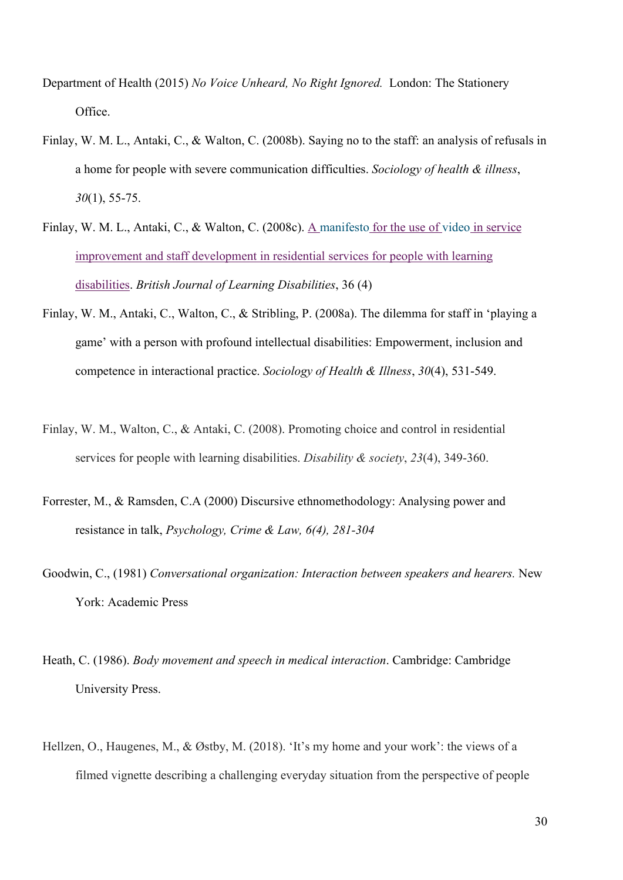- Department of Health (2015) *No Voice Unheard, No Right Ignored.* London: The Stationery Office.
- Finlay, W. M. L., Antaki, C., & Walton, C. (2008b). Saying no to the staff: an analysis of refusals in a home for people with severe communication difficulties. *Sociology of health & illness*, *30*(1), 55-75.
- Finlay, W. M. L., Antaki, C., & Walton, C. (2008c). A manifesto [for the use of](https://onlinelibrary.wiley.com/doi/10.1111/j.1468-3156.2008.00511.x) video in service [improvement and staff development in residential services for people with learning](https://onlinelibrary.wiley.com/doi/10.1111/j.1468-3156.2008.00511.x)  [disabilities.](https://onlinelibrary.wiley.com/doi/10.1111/j.1468-3156.2008.00511.x) *British Journal of Learning Disabilities*, 36 (4)
- Finlay, W. M., Antaki, C., Walton, C., & Stribling, P. (2008a). The dilemma for staff in 'playing a game' with a person with profound intellectual disabilities: Empowerment, inclusion and competence in interactional practice. *Sociology of Health & Illness*, *30*(4), 531-549.
- Finlay, W. M., Walton, C., & Antaki, C. (2008). Promoting choice and control in residential services for people with learning disabilities. *Disability & society*, *23*(4), 349-360.
- Forrester, M., & Ramsden, C.A (2000) Discursive ethnomethodology: Analysing power and resistance in talk, *Psychology, Crime & Law, 6(4), 281-304*
- Goodwin, C., (1981) *Conversational organization: Interaction between speakers and hearers.* New York: Academic Press
- Heath, C. (1986). *Body movement and speech in medical interaction*. Cambridge: Cambridge University Press.
- Hellzen, O., Haugenes, M., & Østby, M. (2018). 'It's my home and your work': the views of a filmed vignette describing a challenging everyday situation from the perspective of people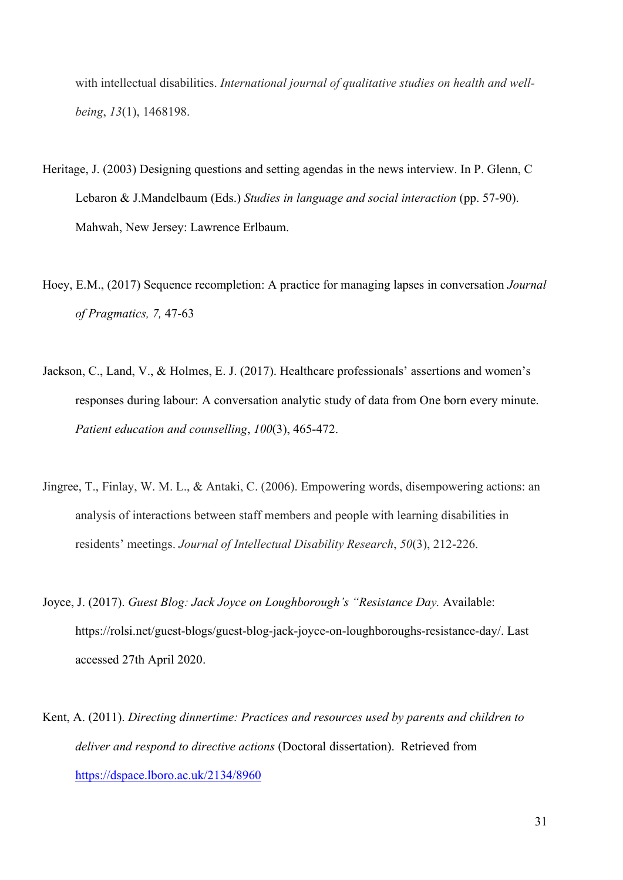with intellectual disabilities. *International journal of qualitative studies on health and wellbeing*, *13*(1), 1468198.

- Heritage, J. (2003) Designing questions and setting agendas in the news interview. In P. Glenn, C Lebaron & J.Mandelbaum (Eds.) *Studies in language and social interaction* (pp. 57-90). Mahwah, New Jersey: Lawrence Erlbaum.
- Hoey, E.M., (2017) Sequence recompletion: A practice for managing lapses in conversation *Journal of Pragmatics, 7,* 47-63
- Jackson, C., Land, V., & Holmes, E. J. (2017). Healthcare professionals' assertions and women's responses during labour: A conversation analytic study of data from One born every minute. *Patient education and counselling*, *100*(3), 465-472.
- Jingree, T., Finlay, W. M. L., & Antaki, C. (2006). Empowering words, disempowering actions: an analysis of interactions between staff members and people with learning disabilities in residents' meetings. *Journal of Intellectual Disability Research*, *50*(3), 212-226.
- Joyce, J. (2017). *Guest Blog: Jack Joyce on Loughborough's "Resistance Day.* Available: https://rolsi.net/guest-blogs/guest-blog-jack-joyce-on-loughboroughs-resistance-day/. Last accessed 27th April 2020.
- Kent, A. (2011). *Directing dinnertime: Practices and resources used by parents and children to deliver and respond to directive actions* (Doctoral dissertation). Retrieved from <https://dspace.lboro.ac.uk/2134/8960>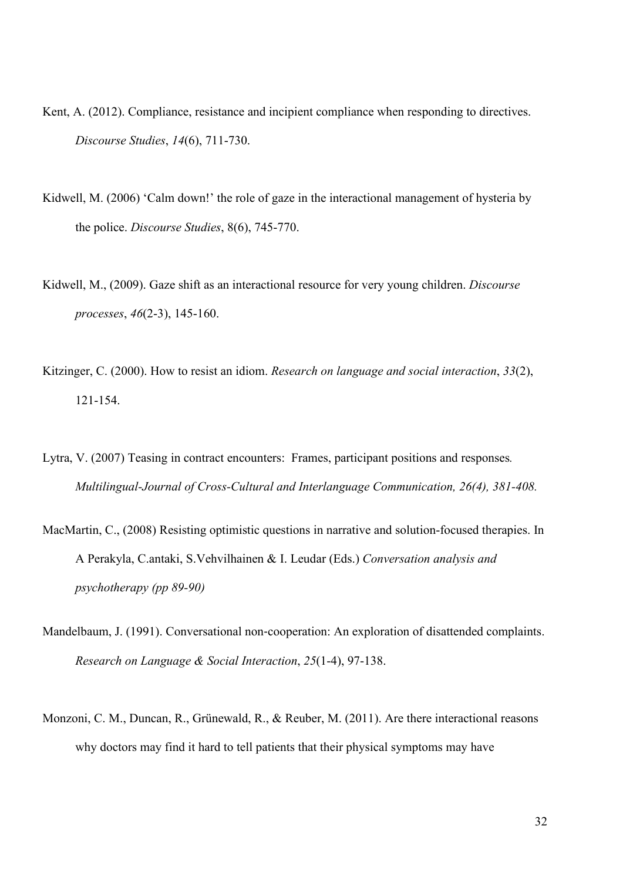- Kent, A. (2012). Compliance, resistance and incipient compliance when responding to directives. *Discourse Studies*, *14*(6), 711-730.
- Kidwell, M. (2006) 'Calm down!' the role of gaze in the interactional management of hysteria by the police. *Discourse Studies*, 8(6), 745-770.
- Kidwell, M., (2009). Gaze shift as an interactional resource for very young children. *Discourse processes*, *46*(2-3), 145-160.
- Kitzinger, C. (2000). How to resist an idiom. *Research on language and social interaction*, *33*(2), 121-154.
- Lytra, V. (2007) Teasing in contract encounters: Frames, participant positions and responses*. Multilingual-Journal of Cross-Cultural and Interlanguage Communication, 26(4), 381-408.*
- MacMartin, C., (2008) Resisting optimistic questions in narrative and solution-focused therapies. In A Perakyla, C.antaki, S.Vehvilhainen & I. Leudar (Eds.) *Conversation analysis and psychotherapy (pp 89-90)*
- Mandelbaum, J. (1991). Conversational non‐cooperation: An exploration of disattended complaints. *Research on Language & Social Interaction*, *25*(1-4), 97-138.
- Monzoni, C. M., Duncan, R., Grünewald, R., & Reuber, M. (2011). Are there interactional reasons why doctors may find it hard to tell patients that their physical symptoms may have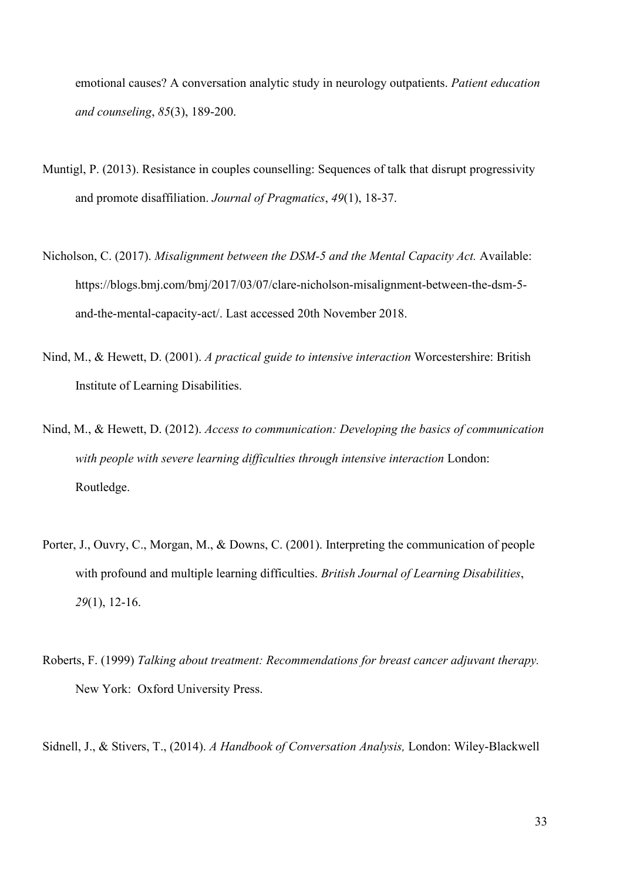emotional causes? A conversation analytic study in neurology outpatients. *Patient education and counseling*, *85*(3), 189-200.

- Muntigl, P. (2013). Resistance in couples counselling: Sequences of talk that disrupt progressivity and promote disaffiliation. *Journal of Pragmatics*, *49*(1), 18-37.
- Nicholson, C. (2017). *Misalignment between the DSM-5 and the Mental Capacity Act.* Available: https://blogs.bmj.com/bmj/2017/03/07/clare-nicholson-misalignment-between-the-dsm-5 and-the-mental-capacity-act/. Last accessed 20th November 2018.
- Nind, M., & Hewett, D. (2001). *A practical guide to intensive interaction* Worcestershire: British Institute of Learning Disabilities.
- Nind, M., & Hewett, D. (2012). *Access to communication: Developing the basics of communication with people with severe learning difficulties through intensive interaction* London: Routledge.
- Porter, J., Ouvry, C., Morgan, M., & Downs, C. (2001). Interpreting the communication of people with profound and multiple learning difficulties. *British Journal of Learning Disabilities*, *29*(1), 12-16.
- Roberts, F. (1999) *Talking about treatment: Recommendations for breast cancer adjuvant therapy.* New York: Oxford University Press.

Sidnell, J., & Stivers, T., (2014). *A Handbook of Conversation Analysis,* London: Wiley-Blackwell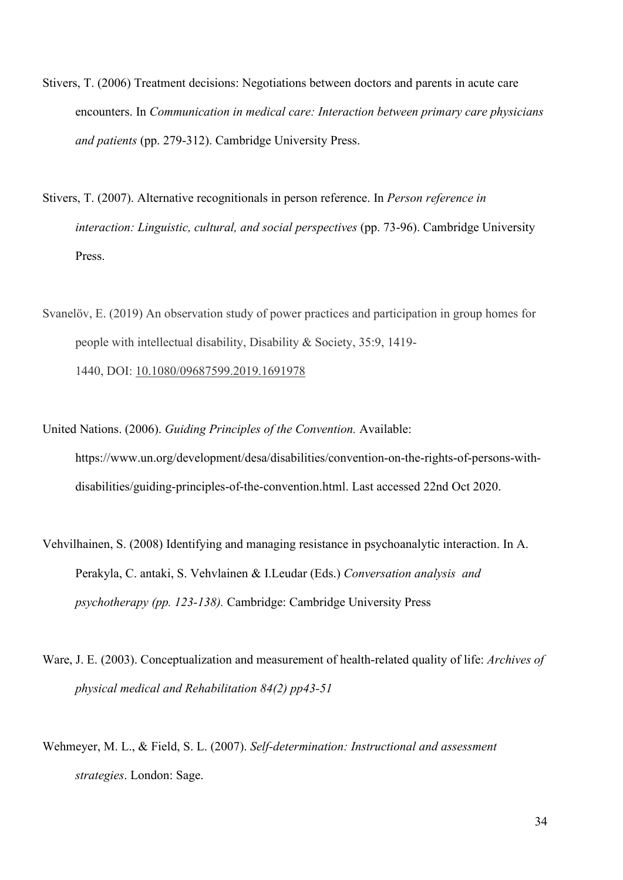- Stivers, T. (2006) Treatment decisions: Negotiations between doctors and parents in acute care encounters. In *Communication in medical care: Interaction between primary care physicians and patients* (pp. 279-312). Cambridge University Press.
- Stivers, T. (2007). Alternative recognitionals in person reference. In *Person reference in interaction: Linguistic, cultural, and social perspectives* (pp. 73-96). Cambridge University Press.
- Svanelöv, E. (2019) An observation study of power practices and participation in group homes for people with intellectual disability, Disability & Society, 35:9, 1419- 1440, DOI: [10.1080/09687599.2019.1691978](https://doi.org/10.1080/09687599.2019.1691978)
- United Nations. (2006). *Guiding Principles of the Convention.* Available: https://www.un.org/development/desa/disabilities/convention-on-the-rights-of-persons-withdisabilities/guiding-principles-of-the-convention.html. Last accessed 22nd Oct 2020.
- Vehvilhainen, S. (2008) Identifying and managing resistance in psychoanalytic interaction. In A. Perakyla, C. antaki, S. Vehvlainen & I.Leudar (Eds.) *Conversation analysis and psychotherapy (pp. 123-138).* Cambridge: Cambridge University Press
- Ware, J. E. (2003). Conceptualization and measurement of health-related quality of life: *Archives of physical medical and Rehabilitation 84(2) pp43-51*
- Wehmeyer, M. L., & Field, S. L. (2007). *Self-determination: Instructional and assessment strategies*. London: Sage.